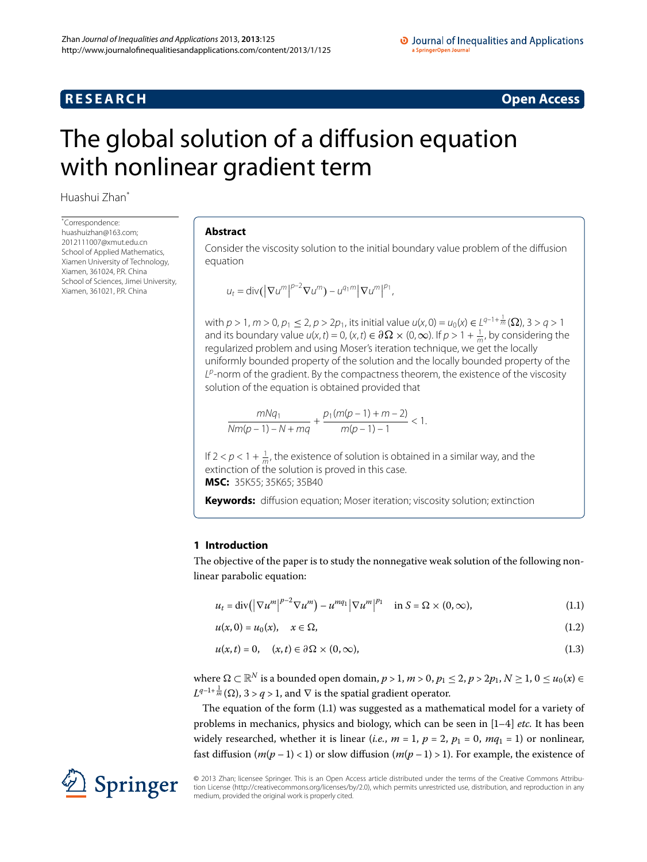# **RESEARCH CONSTRUCTED ACCESS**

# <span id="page-0-0"></span>The global solution of a diffusion equation with nonlinear gradient term

Huashui Zhan<sup>[\\*](#page-0-0)</sup>

\* Correspondence: [huashuizhan@163.com;](mailto:huashuizhan@163.com) [2012111007@xmut.edu.cn](mailto:2012111007@xmut.edu.cn) School of Applied Mathematics, Xiamen University of Technology, Xiamen, 361024, P.R. China School of Sciences, Jimei University, Xiamen, 361021, P.R. China

## **Abstract**

Consider the viscosity solution to the initial boundary value problem of the diffusion equation

$$
u_t = \operatorname{div}(|\nabla u^m|^{p-2} \nabla u^m) - u^{q_1 m} |\nabla u^m|^{p_1},
$$

with  $p > 1$ ,  $m > 0$ ,  $p_1 \le 2$ ,  $p > 2p_1$ , its initial value  $u(x, 0) = u_0(x) \in L^{q-1+\frac{1}{m}}(\Omega)$ ,  $3 > q > 1$ and its boundary value  $u(x, t) = 0$ ,  $(x, t) \in \partial \Omega \times (0, \infty)$ . If  $p > 1 + \frac{1}{m}$ , by considering the regularized problem and using Moser's iteration technique, we get the locally uniformly bounded property of the solution and the locally bounded property of the  $L^p$ -norm of the gradient. By the compactness theorem, the existence of the viscosity solution of the equation is obtained provided that

$$
\frac{mNq_1}{Nm(p-1)-N+mq} + \frac{p_1(m(p-1)+m-2)}{m(p-1)-1} < 1.
$$

If  $2 < p < 1 + \frac{1}{m}$ , the existence of solution is obtained in a similar way, and the extinction of the solution is proved in this case. **MSC:** 35K55; 35K65; 35B40

<span id="page-0-1"></span>**Keywords:** diffusion equation; Moser iteration; viscosity solution; extinction

# <span id="page-0-3"></span><span id="page-0-2"></span>**1 Introduction**

The objective of the paper is to study the nonnegative weak solution of the following nonlinear parabolic equation:

$$
u_t = \operatorname{div} \left( \left| \nabla u^m \right|^{p-2} \nabla u^m \right) - u^{mq_1} \left| \nabla u^m \right|^{p_1} \quad \text{in } S = \Omega \times (0, \infty), \tag{1.1}
$$

$$
u(x,0) = u_0(x), \quad x \in \Omega,
$$
\n
$$
(1.2)
$$

$$
u(x,t) = 0, \quad (x,t) \in \partial\Omega \times (0,\infty), \tag{1.3}
$$

where  $\Omega \subset \mathbb{R}^N$  is a bounded open domain,  $p > 1$ ,  $m > 0$ ,  $p_1 \le 2$ ,  $p > 2p_1$ ,  $N \ge 1$ ,  $0 \le u_0(x) \in$  $L^{q-1+\frac{1}{m}}(\Omega)$ ,  $3 > q > 1$ , and  $\nabla$  is the spatial gradient operator.

The equation of the form  $(1.1)$  was suggested as a mathematical model for a variety of problems in mechanics, physics and biology, which can be seen in  $[1-4]$  $[1-4]$  *etc.* It has been widely researched, whether it is linear (*i.e.*,  $m = 1$ ,  $p = 2$ ,  $p_1 = 0$ ,  $mq_1 = 1$ ) or nonlinear, fast diffusion  $(m(p-1) < 1)$  or slow diffusion  $(m(p-1) > 1)$ . For example, the existence of



© 2013 Zhan; licensee Springer. This is an Open Access article distributed under the terms of the Creative Commons Attribution License ([http://creativecommons.org/licenses/by/2.0\)](http://creativecommons.org/licenses/by/2.0), which permits unrestricted use, distribution, and reproduction in any medium, provided the original work is properly cited.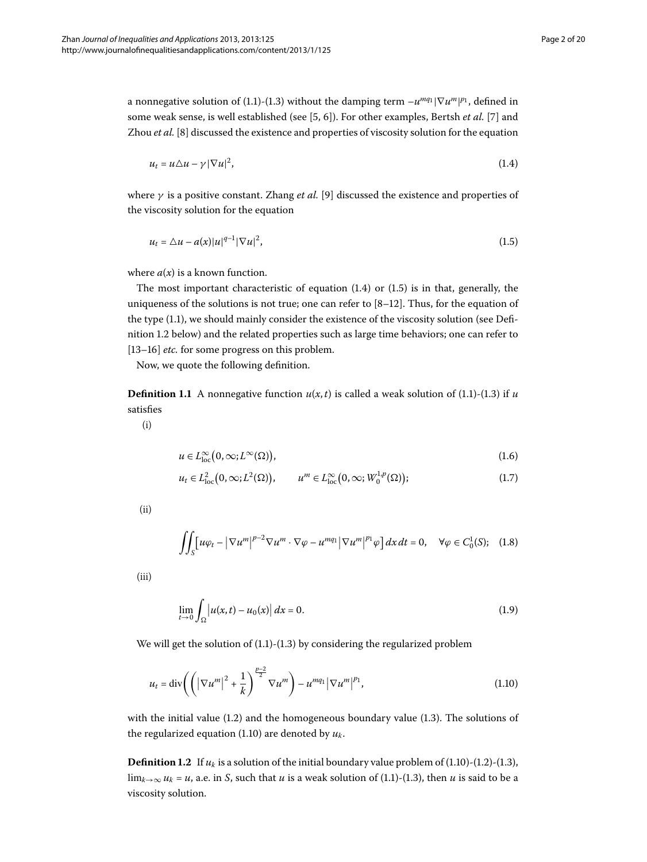a nonnegative solution of (1[.](#page-0-1)1)-(1.3) without the damping term  $-u^{mq_1}|\nabla u^m|^{p_1}$ , defined in some weak sense, is well established (see [\[](#page-19-2)5, 6[\]](#page-19-4)). For other examples, Bertsh *et al.* [7] and Zhou *et al.* [8[\]](#page-19-5) discussed the existence and properties of viscosity solution for the equation

<span id="page-1-1"></span><span id="page-1-0"></span>
$$
u_t = u \Delta u - \gamma |\nabla u|^2, \tag{1.4}
$$

where  $\gamma$  is a positive constant. Zhang *et al.* [\[](#page-19-6)9] discussed the existence and properties of the viscosity solution for the equation

$$
u_t = \Delta u - a(x)|u|^{q-1}|\nabla u|^2,
$$
\n(1.5)

where  $a(x)$  is a known function.

The most important characteristic of equation  $(1.4)$  or  $(1.5)$  is in that, generally, the uniqueness of the solutions is not true; one can refer to  $[8-12]$ . Thus, for the equation of the type  $(1.1)$ , we should mainly consider the existence of the viscosity solution (see Defi-nition 1[.](#page-1-2)2 below) and the related properties such as large time behaviors; one can refer to [13[–](#page-19-8)16[\]](#page-19-9) *etc.* for some progress on this problem.

Now, we quote the following definition.

**Definition 1[.](#page-0-2)1** A nonnegative function  $u(x,t)$  is called a weak solution of (1.1)-(1.3) if *u* satisfies

(i)

$$
u \in L^{\infty}_{loc}(0,\infty;L^{\infty}(\Omega)), \tag{1.6}
$$

<span id="page-1-5"></span>
$$
u_t \in L^2_{loc}\big(0,\infty; L^2(\Omega)\big), \qquad u^m \in L^\infty_{loc}\big(0,\infty; W_0^{1,p}(\Omega)\big); \tag{1.7}
$$

(ii)

<span id="page-1-4"></span>
$$
\iint_{S} \left[ u\varphi_{t} - \left| \nabla u^{m} \right|^{p-2} \nabla u^{m} \cdot \nabla \varphi - u^{mq_{1}} \left| \nabla u^{m} \right|^{p_{1}} \varphi \right] dx dt = 0, \quad \forall \varphi \in C_{0}^{1}(S); \quad (1.8)
$$

(iii)

<span id="page-1-3"></span>
$$
\lim_{t \to 0} \int_{\Omega} |u(x, t) - u_0(x)| dx = 0.
$$
 (1.9)

<span id="page-1-2"></span>We will get the solution of  $(1.1)-(1.3)$  $(1.1)-(1.3)$  $(1.1)-(1.3)$  by considering the regularized problem

$$
u_{t} = \operatorname{div}\left(\left(\left|\nabla u^{m}\right|^{2} + \frac{1}{k}\right)^{\frac{p-2}{2}}\nabla u^{m}\right) - u^{mq_{1}}\left|\nabla u^{m}\right|^{p_{1}},\tag{1.10}
$$

with the initial value  $(1.2)$  $(1.2)$  $(1.2)$  and the homogeneous boundary value  $(1.3)$ . The solutions of the regularized equation (1[.](#page-1-3)10) are denoted by  $u_k$ .

**Definition 1[.](#page-1-3)2** If  $u_k$  is a solution of the initial boundary value problem of  $(1.10)-(1.2)-(1.3)$ ,  $\lim_{k\to\infty} u_k = u$ , a[.](#page-0-2)e. in *S*, such that *u* is a weak solution of (1.1)-(1.3), then *u* is said to be a viscosity solution.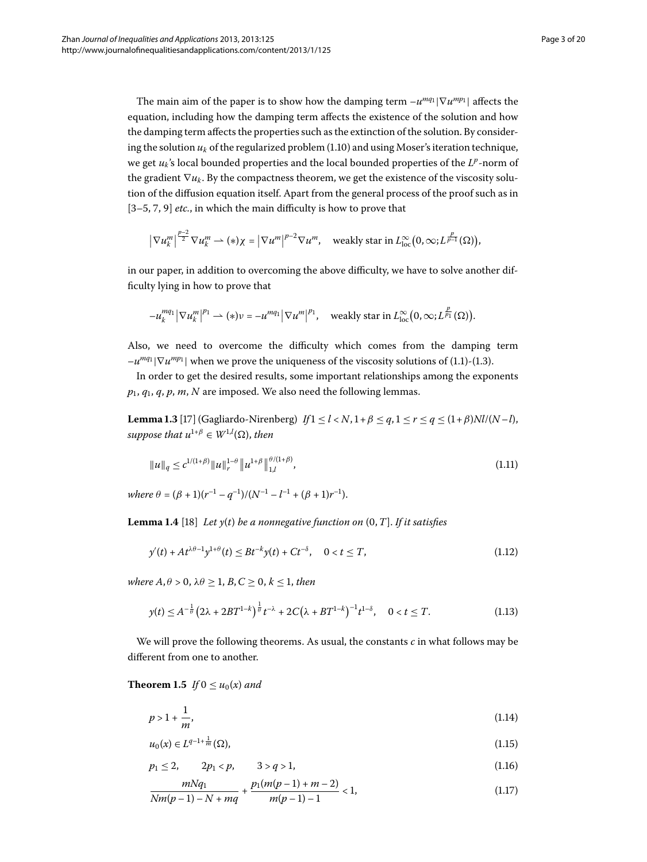The main aim of the paper is to show how the damping term  $-u^{mq_1}|\nabla u^{mp_1}|$  affects the equation, including how the damping term affects the existence of the solution and how the damping term affects the properties such as the extinction of the solution. By considering the solution  $u_k$  of the regularized problem  $(1.10)$  and using Moser's iteration technique, we get  $u_k$ 's local bounded properties and the local bounded properties of the  $L^p$ -norm of the gradient  $\nabla u_k$ . By the compactness theorem, we get the existence of the viscosity solution of the diffusion equation itself. Apart from the general process of the proof such as in  $[3-5, 7, 9]$  $[3-5, 7, 9]$  $[3-5, 7, 9]$  $[3-5, 7, 9]$  *etc.*, in which the main difficulty is how to prove that

$$
\left|\nabla u_k^m\right|^{\frac{p-2}{2}}\nabla u_k^m \rightharpoonup (*)\chi = \left|\nabla u^m\right|^{p-2}\nabla u^m, \quad \text{weakly star in } L^\infty_{\text{loc}}\big(0,\infty;L^{\frac{p}{p-1}}(\Omega)\big),
$$

in our paper, in addition to overcoming the above difficulty, we have to solve another difficulty lying in how to prove that

<span id="page-2-1"></span>
$$
-u_k^{mq_1}|\nabla u_k^m|^{p_1}\rightharpoonup (*)v=-u^{mq_1}|\nabla u^m|^{p_1},\quad\text{weakly star in }L_{\text{loc}}^\infty\big(0,\infty; L^{\frac{p}{p_1}}(\Omega)\big).
$$

Also, we need to overcome the difficulty which comes from the damping term  $-u^{mq_1}|\nabla u^{mp_1}|$  when we prove the uniqueness of the viscosity solutions of (1[.](#page-0-1)1)-(1.3).

In order to get the desired results, some important relationships among the exponents *p*, *q*, *q*, *p*, *m*, *N* are imposed. We also need the following lemmas.

<span id="page-2-2"></span>**Lemma 1.3** [17] (Gagliardo-Nirenberg)  $If 1 \le l < N, 1 + \beta \le q, 1 \le r \le q \le (1 + \beta)Nl/(N-l),$  $suppose that u^{1+\beta} \in W^{1,l}(\Omega)$ , then

$$
||u||_q \leq c^{1/(1+\beta)} ||u||_r^{1-\beta} ||u^{1+\beta}||_{1,l}^{\theta/(1+\beta)}, \tag{1.11}
$$

 $where \ \theta = (\beta + 1)(r^{-1} - q^{-1})/(N^{-1} - l^{-1} + (\beta + 1)r^{-1}).$ 

**Lemma 1.4** [\[](#page-19-12)18] Let  $y(t)$  be a nonnegative function on  $(0, T]$ . If it satisfies

$$
y'(t) + At^{\lambda \theta - 1} y^{1+\theta}(t) \le B t^{-k} y(t) + Ct^{-\delta}, \quad 0 < t \le T,
$$
\n(1.12)

<span id="page-2-3"></span>*where*  $A, \theta > 0, \lambda \theta \geq 1, B, C \geq 0, k \leq 1$ , then

$$
y(t) \le A^{-\frac{1}{\theta}} \left( 2\lambda + 2BT^{1-k} \right)^{\frac{1}{\theta}} t^{-\lambda} + 2C \left( \lambda + BT^{1-k} \right)^{-1} t^{1-\delta}, \quad 0 < t \le T. \tag{1.13}
$$

We will prove the following theorems. As usual, the constants *c* in what follows may be different from one to another.

# <span id="page-2-0"></span>**Theorem 1.5** *If*  $0 \le u_0(x)$  *and*

$$
p > 1 + \frac{1}{m},\tag{1.14}
$$

$$
u_0(x) \in L^{q-1+\frac{1}{m}}(\Omega),\tag{1.15}
$$

$$
p_1 \le 2, \qquad 2p_1 < p, \qquad 3 > q > 1,\tag{1.16}
$$

$$
\frac{mNq_1}{Nm(p-1)-N+mq} + \frac{p_1(m(p-1)+m-2)}{m(p-1)-1} < 1,\tag{1.17}
$$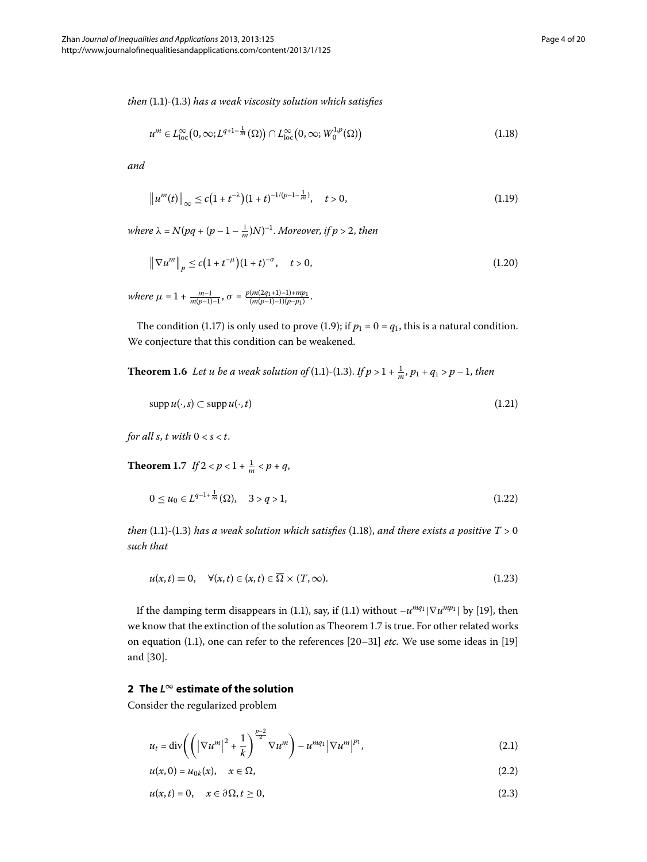*then* (1[.](#page-0-1)1)-(1.3) has a weak viscosity solution which satisfies

<span id="page-3-0"></span>
$$
u^m \in L^{\infty}_{\text{loc}}\big(0,\infty; L^{q+1-\frac{1}{m}}(\Omega)\big) \cap L^{\infty}_{\text{loc}}\big(0,\infty; W^{1,p}_0(\Omega)\big) \tag{1.18}
$$

*and*

$$
\|u^m(t)\|_{\infty} \le c\big(1+t^{-\lambda}\big)(1+t)^{-1/(p-1-\frac{1}{m})}, \quad t>0,
$$
\n(1.19)

*where*  $\lambda = N(pq + (p - 1 - \frac{1}{m})N)^{-1}$ . *Moreover, if*  $p > 2$ *, then* 

$$
\|\nabla u^m\|_p \le c\big(1 + t^{-\mu}\big)(1 + t)^{-\sigma}, \quad t > 0,
$$
\n(1.20)

<span id="page-3-4"></span> $where \mu = 1 + \frac{m-1}{m(p-1)-1}, \sigma = \frac{p(m(2q_1+1)-1)+mp_1}{(m(p-1)-1)(p-p_1)}.$ 

The condition (1.17) is only used to prove (1.9); if  $p_1 = 0 = q_1$ , this is a natural condition. We conjecture that this condition can be weakened.

<span id="page-3-1"></span>**Theorem 1[.](#page-0-2)6** Let u be a weak solution of (1.1)-(1.3). If  $p > 1 + \frac{1}{m}$ ,  $p_1 + q_1 > p - 1$ , then

$$
\operatorname{supp} u(\cdot, s) \subset \operatorname{supp} u(\cdot, t) \tag{1.21}
$$

*for all s, t with*  $0 < s < t$ .

**Theorem 1.7** *If*  $2 < p < 1 + \frac{1}{m} < p + q$ ,

$$
0 \le u_0 \in L^{q-1+\frac{1}{m}}(\Omega), \quad 3 > q > 1,\tag{1.22}
$$

*then* (1.1)-(1.3) has a weak solution which satisfies (1.18), and there exists a positive  $T > 0$ *such that*

$$
u(x,t) \equiv 0, \quad \forall (x,t) \in (x,t) \in \overline{\Omega} \times (T,\infty). \tag{1.23}
$$

<span id="page-3-2"></span>If the damping term disappears in (1[.](#page-0-1)1), say, if (1.1) without  $-u^{mq_1}|\nabla u^{mp_1}|$  by [19[\]](#page-19-13), then we know that the extinction of the solution as Theorem 1[.](#page-3-1)7 is true. For other related works on equation (1[.](#page-0-1)1), one can refer to the references [20-31[\]](#page-19-15) *etc*. We use some ideas in [19] and [30].

#### <span id="page-3-3"></span>**2 The** *L***<sup>∞</sup> estimate of the solution**

Consider the regularized problem

$$
u_{t} = \operatorname{div}\left(\left(\left|\nabla u^{m}\right|^{2} + \frac{1}{k}\right)^{\frac{p-2}{2}}\nabla u^{m}\right) - u^{mq_{1}}\left|\nabla u^{m}\right|^{p_{1}},\tag{2.1}
$$

$$
u(x,0) = u_{0k}(x), \quad x \in \Omega,
$$
\n(2.2)

$$
u(x,t) = 0, \quad x \in \partial\Omega, t \ge 0,
$$
\n
$$
(2.3)
$$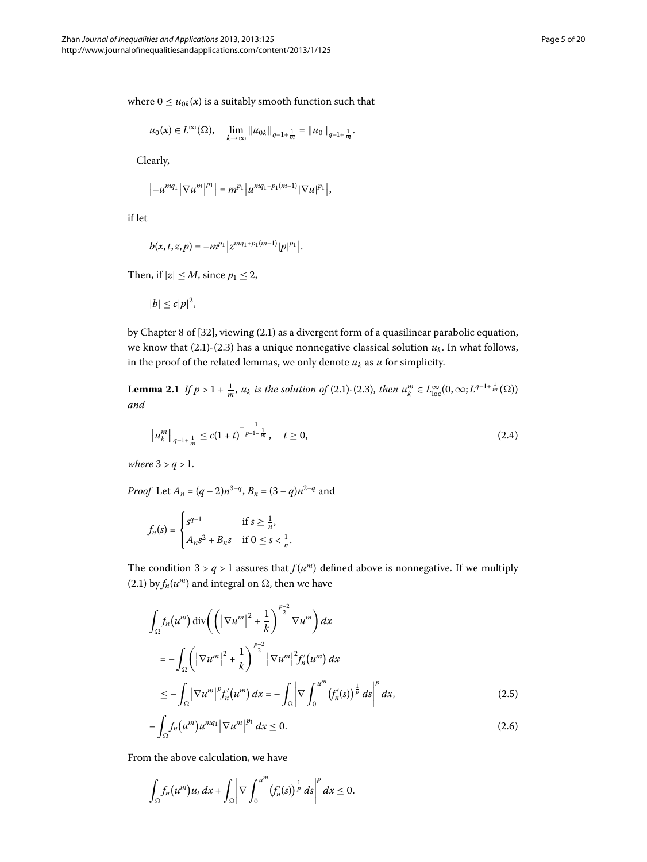where  $0 \le u_{0k}(x)$  is a suitably smooth function such that

$$
u_0(x) \in L^{\infty}(\Omega)
$$
,  $\lim_{k \to \infty} ||u_{0k}||_{q-1+\frac{1}{m}} = ||u_0||_{q-1+\frac{1}{m}}$ .

Clearly,

$$
|-u^{mq_1}|\nabla u^m|^{p_1}|=m^{p_1}|u^{mq_1+p_1(m-1)}|\nabla u|^{p_1}|,
$$

if let

$$
b(x,t,z,p)=-m^{p_1}|z^{mq_1+p_1(m-1)}|p|^{p_1}|.
$$

<span id="page-4-0"></span>Then, if  $|z| \leq M$ , since  $p_1 \leq 2$ ,

<span id="page-4-1"></span>
$$
|b| \leq c|p|^2,
$$

by Chapter 8 of  $[32]$  $[32]$ , viewing  $(2.1)$  as a divergent form of a quasilinear parabolic equation, we know that  $(2.1)-(2.3)$  $(2.1)-(2.3)$  $(2.1)-(2.3)$  has a unique nonnegative classical solution  $u_k$ . In what follows, in the proof of the related lemmas, we only denote  $u_k$  as  $u$  for simplicity.

**Lemma 2.1** If  $p > 1 + \frac{1}{m}$ ,  $u_k$  is the solution of (2.1)-(2.3), then  $u_k^m \in L^{\infty}_{loc}(0, \infty; L^{q-1+\frac{1}{m}}(\Omega))$ *and*

$$
\|u_k^m\|_{q-1+\frac{1}{m}} \le c(1+t)^{-\frac{1}{p-1-\frac{1}{m}}}, \quad t \ge 0,
$$
\n(2.4)

*where*  $3 > q > 1$ *.* 

*Proof* Let  $A_n = (q-2)n^{3-q}$ ,  $B_n = (3-q)n^{2-q}$  and

$$
f_n(s) = \begin{cases} s^{q-1} & \text{if } s \ge \frac{1}{n}, \\ A_n s^2 + B_n s & \text{if } 0 \le s < \frac{1}{n}. \end{cases}
$$

The condition  $3 > q > 1$  assures that  $f(u^m)$  defined above is nonnegative. If we multiply  $(2.1)$  $(2.1)$  $(2.1)$  by  $f_n(u^m)$  and integral on  $\Omega$ , then we have

$$
\int_{\Omega} f_n(u^m) \operatorname{div}\left(\left(|\nabla u^m|^2 + \frac{1}{k}\right)^{\frac{p-2}{2}} \nabla u^m\right) dx
$$
\n
$$
= -\int_{\Omega} \left(|\nabla u^m|^2 + \frac{1}{k}\right)^{\frac{p-2}{2}} |\nabla u^m|^2 f'_n(u^m) dx
$$
\n
$$
\leq -\int_{\Omega} |\nabla u^m|^p f'_n(u^m) dx = -\int_{\Omega} \left|\nabla \int_0^{u^m} (f'_n(s))^{\frac{1}{p}} ds\right|^p dx,
$$
\n(2.5)

$$
-\int_{\Omega} f_n(u^m)u^{mq_1} \left|\nabla u^m\right|^{p_1} dx \le 0. \tag{2.6}
$$

From the above calculation, we have

$$
\int_{\Omega} f_n(u^m)u_t dx + \int_{\Omega} \left|\nabla \int_0^{u^m} (f'_n(s))^{\frac{1}{p}} ds\right|^p dx \leq 0.
$$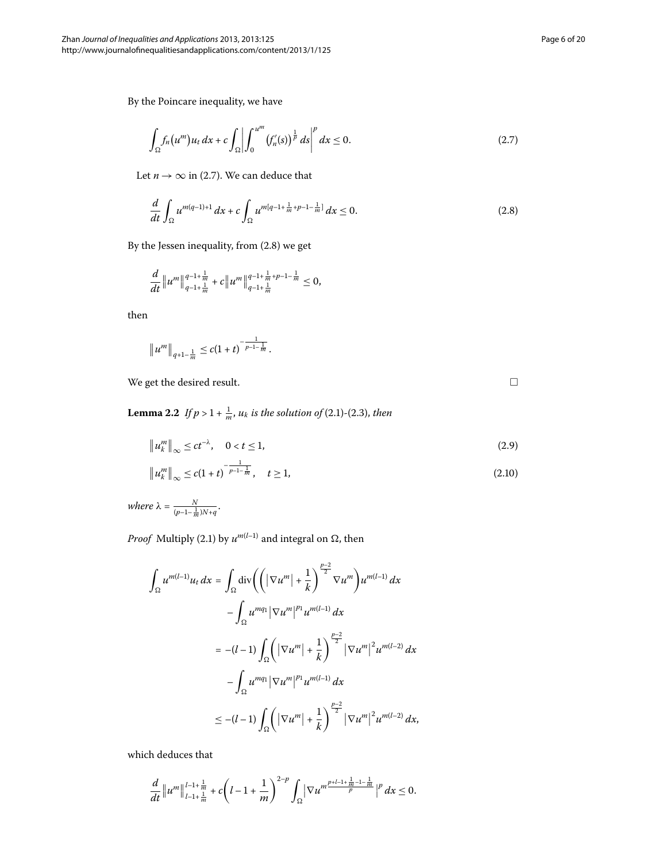<span id="page-5-1"></span> $\Box$ 

By the Poincare inequality, we have

<span id="page-5-0"></span>
$$
\int_{\Omega} f_n(u^m) u_t \, dx + c \int_{\Omega} \left| \int_0^{u^m} (f'_n(s))^{\frac{1}{p}} \, ds \right|^p \, dx \le 0. \tag{2.7}
$$

Let  $n \to \infty$  in (2.7). We can deduce that

$$
\frac{d}{dt} \int_{\Omega} u^{m(q-1)+1} dx + c \int_{\Omega} u^{m(q-1+\frac{1}{m}+p-1-\frac{1}{m}]} dx \le 0.
$$
 (2.8)

By the Jessen inequality, from  $(2.8)$  $(2.8)$  $(2.8)$  we get

$$
\frac{d}{dt}\|u^m\|_{q-1+\frac{1}{m}}^{q-1+\frac{1}{m}}+c\|u^m\|_{q-1+\frac{1}{m}}^{q-1+\frac{1}{m}+p-1-\frac{1}{m}}\leq 0,
$$

<span id="page-5-4"></span><span id="page-5-2"></span>then

$$
\|u^m\|_{q+1-\frac{1}{m}} \leq c(1+t)^{-\frac{1}{p-1-\frac{1}{m}}}.
$$

<span id="page-5-3"></span>We get the desired result.

**Lemma 2.2** If  $p > 1 + \frac{1}{m}$ ,  $u_k$  is the solution of (2.1)-(2.3), then

$$
\|u_k^m\|_{\infty} \le ct^{-\lambda}, \quad 0 < t \le 1,
$$
\n(2.9)

$$
\|u_k^m\|_{\infty} \le c(1+t)^{-\frac{1}{p-1-\frac{1}{m}}}, \quad t \ge 1,
$$
\n(2.10)

 $where \lambda = \frac{N}{(p-1-\frac{1}{m})N+q}.$ 

*Proof* Multiply (2.1) by  $u^{m(l-1)}$  and integral on  $\Omega$ , then

$$
\int_{\Omega} u^{m(l-1)} u_{t} dx = \int_{\Omega} \text{div}\left(\left(|\nabla u^{m}| + \frac{1}{k}\right)^{\frac{p-2}{2}} \nabla u^{m}\right) u^{m(l-1)} dx
$$

$$
- \int_{\Omega} u^{mq_{1}} |\nabla u^{m}|^{p_{1}} u^{m(l-1)} dx
$$

$$
= -(l-1) \int_{\Omega} \left(|\nabla u^{m}| + \frac{1}{k}\right)^{\frac{p-2}{2}} |\nabla u^{m}|^{2} u^{m(l-2)} dx
$$

$$
- \int_{\Omega} u^{mq_{1}} |\nabla u^{m}|^{p_{1}} u^{m(l-1)} dx
$$

$$
\leq -(l-1) \int_{\Omega} \left(|\nabla u^{m}| + \frac{1}{k}\right)^{\frac{p-2}{2}} |\nabla u^{m}|^{2} u^{m(l-2)} dx,
$$

which deduces that

$$
\frac{d}{dt}\|u^m\|_{l-1+\frac{1}{m}}^{l-1+\frac{1}{m}}+c\left(l-1+\frac{1}{m}\right)^{2-p}\int_{\Omega}|\nabla u^{m}\frac{p+l-1+\frac{1}{m}-1-\frac{1}{m}}{p}|^p\,dx\leq 0.
$$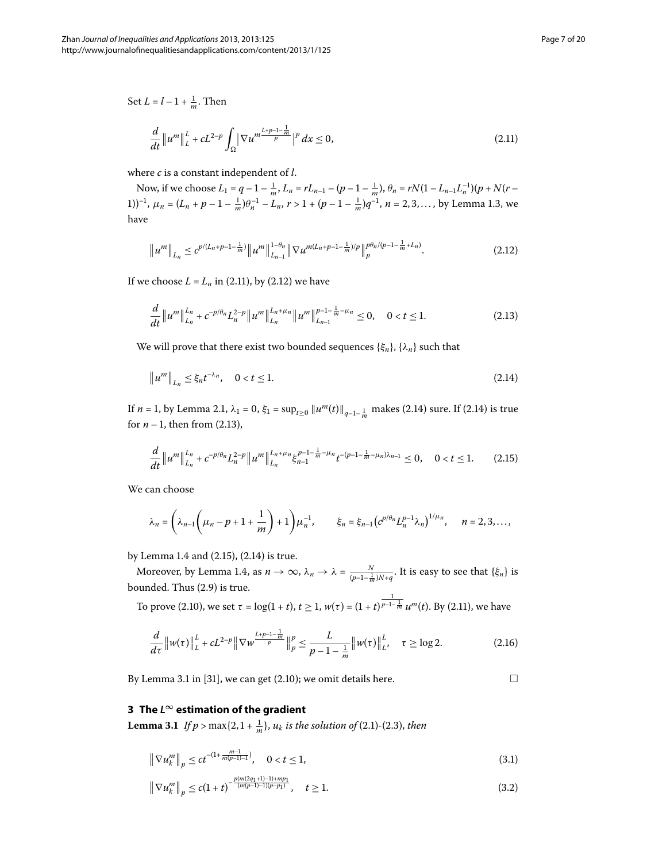$\Box$ 

Set  $L = l - 1 + \frac{1}{m}$ . Then

<span id="page-6-1"></span><span id="page-6-0"></span>
$$
\frac{d}{dt} \|u^m\|_{L}^L + cL^{2-p} \int_{\Omega} |\nabla u^m \frac{L+p-1-\frac{1}{m}}{p}|^p dx \le 0,
$$
\n(2.11)

where *c* is a constant independent of *l*.

Now, if we choose  $L_1 = q - 1 - \frac{1}{m}$ ,  $L_n = rL_{n-1} - (p - 1 - \frac{1}{m})$ ,  $\theta_n = rN(1 - L_{n-1}L_n^{-1})(p + N(r -$ 1)<sup>-1</sup>,  $\mu_n = (L_n + p - 1 - \frac{1}{m})\theta_n^{-1} - L_n$ ,  $r > 1 + (p - 1 - \frac{1}{m})q^{-1}$ ,  $n = 2, 3, ...,$  $n = 2, 3, ...,$  by Lemma 1.3, we have

<span id="page-6-3"></span>
$$
\|u^m\|_{L_n} \leq c^{p/(L_n+p-1-\frac{1}{m})} \|u^m\|_{L_{n-1}}^{1-\theta_n} \|\nabla u^{m(L_n+p-1-\frac{1}{m})/p}\|_{p}^{p\theta_n/(p-1-\frac{1}{m}+L_n)}.
$$
\n(2.12)

If we choose  $L = L_n$  in (2.11), by (2.12) we have

<span id="page-6-2"></span>
$$
\frac{d}{dt} \|u^m\|_{L_n}^{L_n} + c^{-p/\theta_n} L_n^{2-p} \|u^m\|_{L_n}^{L_n + \mu_n} \|u^m\|_{L_{n-1}}^{p-1-\frac{1}{m}-\mu_n} \le 0, \quad 0 < t \le 1.
$$
\n(2.13)

We will prove that there exist two bounded sequences  $\{\xi_n\}$ ,  $\{\lambda_n\}$  such that

<span id="page-6-4"></span>
$$
\|u^m\|_{L_n} \le \xi_n t^{-\lambda_n}, \quad 0 < t \le 1. \tag{2.14}
$$

If *n* = 1, by Lemma 2.1,  $\lambda_1 = 0$ ,  $\xi_1 = \sup_{t \ge 0} ||u^m(t)||_{q-1-\frac{1}{m}}$  makes (2.14) sure. If (2.14) is true for  $n-1$ , then from (2[.](#page-6-3)13),

$$
\frac{d}{dt}\|u^m\|_{L_n}^{L_n}+c^{-p/\theta_n}L_n^{2-p}\|u^m\|_{L_n}^{L_n+\mu_n}\xi_{n-1}^{p-1-\frac{1}{m}-\mu_n}t^{-(p-1-\frac{1}{m}-\mu_n)\lambda_{n-1}}\leq 0,\quad 0
$$

We can choose

$$
\lambda_n = \left(\lambda_{n-1}\left(\mu_n - p + 1 + \frac{1}{m}\right) + 1\right)\mu_n^{-1}, \qquad \xi_n = \xi_{n-1}\left(e^{p/\theta_n}L_n^{p-1}\lambda_n\right)^{1/\mu_n}, \quad n = 2, 3, \dots,
$$

by Lemma 1[.](#page-2-2)4 and  $(2.15)$ ,  $(2.14)$  is true.

Moreover, by Lemma 1.4, as  $n \to \infty$ ,  $\lambda_n \to \lambda = \frac{N}{(p-1-\frac{1}{m})N+q}$ . It is easy to see that  $\{\xi_n\}$  is bounded[.](#page-5-2) Thus (2.9) is true.

<span id="page-6-7"></span>To prove (2.10), we set *τ* = log(1 + *t*), *t* ≥ 1, *w*(*τ*) = (1 + *t*)<sup> $\frac{1}{p-1-\frac{1}{m}}$  *u*<sup>*m*</sup>(*t*). By (2.11), we have</sup>

$$
\frac{d}{d\tau} \|w(\tau)\|_{L}^{L} + cL^{2-p} \|\nabla w^{\frac{L+p-1-\frac{1}{m}}{p}}\|_{p}^{p} \leq \frac{L}{p-1-\frac{1}{m}} \|w(\tau)\|_{L}^{L}, \quad \tau \geq \log 2.
$$
 (2.16)

<span id="page-6-6"></span><span id="page-6-5"></span>By Lemma 3.1 in  $[31]$ , we can get  $(2.10)$ ; we omit details here.

#### **3 The** *L***<sup>∞</sup> estimation of the gradient**

**Lemma 3[.](#page-3-2)1** If  $p > \max\{2, 1 + \frac{1}{m}\}, u_k$  is the solution of (2.1)-(2.3), then

$$
\|\nabla u_k^m\|_p \le ct^{-(1+\frac{m-1}{m(p-1)-1})}, \quad 0 < t \le 1,
$$
\n(3.1)

$$
\left\| \nabla u_k^m \right\|_p \le c(1+t)^{-\frac{p(m(2q_1+1)-1)+mp_1}{(m(p-1)-1)(p-p_1)}}, \quad t \ge 1. \tag{3.2}
$$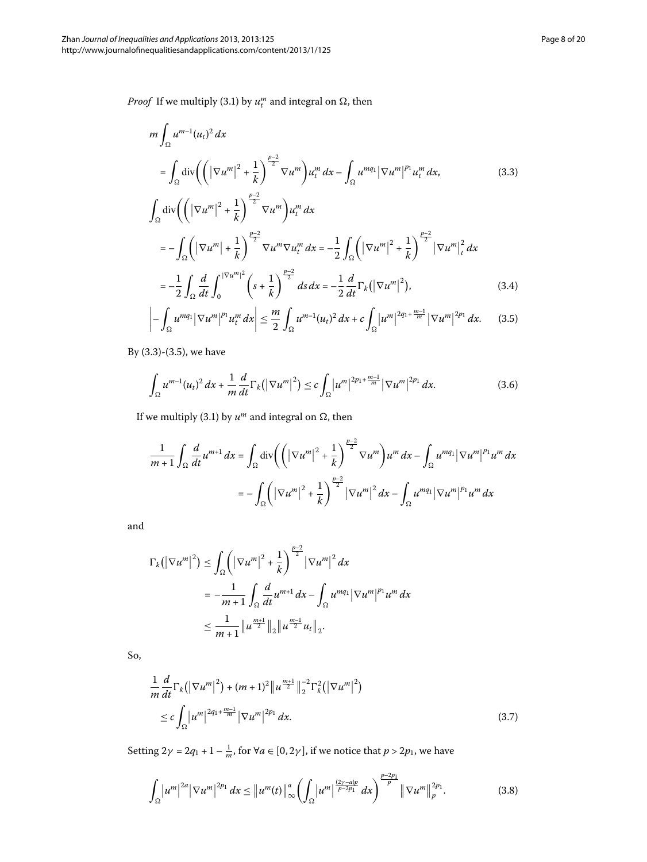<span id="page-7-0"></span>*Proof* If we multiply (3.1) by  $u_t^m$  and integral on  $\Omega$ , then

<span id="page-7-1"></span>
$$
m \int_{\Omega} u^{m-1} (u_t)^2 dx
$$
\n
$$
= \int_{\Omega} \text{div} \left( \left( |\nabla u^m|^2 + \frac{1}{k} \right)^{\frac{p-2}{2}} \nabla u^m \right) u_t^m dx - \int_{\Omega} u^{mq_1} |\nabla u^m|^{p_1} u_t^m dx,
$$
\n(3.3)\n
$$
\int_{\Omega} \text{div} \left( \left( |\nabla u^m|^2 + \frac{1}{k} \right)^{\frac{p-2}{2}} \nabla u^m \right) u_t^m dx
$$
\n
$$
= - \int_{\Omega} \left( |\nabla u^m| + \frac{1}{k} \right)^{\frac{p-2}{2}} \nabla u^m \nabla u_t^m dx = -\frac{1}{2} \int_{\Omega} \left( |\nabla u^m|^2 + \frac{1}{k} \right)^{\frac{p-2}{2}} |\nabla u^m|_t^2 dx
$$
\n
$$
= -\frac{1}{2} \int_{\Omega} \frac{d}{dt} \int_{0}^{|\nabla u^m|^2} \left( s + \frac{1}{k} \right)^{\frac{p-2}{2}} ds dx = -\frac{1}{2} \frac{d}{dt} \Gamma_k (|\nabla u^m|^2),
$$
\n(3.4)\n
$$
\int_{\Omega} u_t^m |\nabla u_t^m|^{p_1} u_t^m dx \leq \frac{m}{2} \int_{\Omega} u_t^{m-1} (u_t)^2 dx + \int_{\Omega} |u_t^m|^{2q_1 + \frac{m-1}{m}} |\nabla u_t^m|^{2p_1} dx
$$
\n(3.5)

$$
\left| -\int_{\Omega} u^{mq_1} \left| \nabla u^m \right|^{p_1} u_t^m dx \right| \leq \frac{m}{2} \int_{\Omega} u^{m-1} (u_t)^2 dx + c \int_{\Omega} \left| u^m \right|^{2q_1 + \frac{m-1}{m}} \left| \nabla u^m \right|^{2p_1} dx. \tag{3.5}
$$

By  $(3.3)-(3.5)$ , we have

$$
\int_{\Omega} u^{m-1}(u_t)^2 dx + \frac{1}{m} \frac{d}{dt} \Gamma_k(|\nabla u^m|^2) \leq c \int_{\Omega} |u^m|^{2p_1 + \frac{m-1}{m}} |\nabla u^m|^{2p_1} dx.
$$
 (3.6)

If we multiply (3.1) by  $u^m$  and integral on  $\Omega$ , then

$$
\frac{1}{m+1} \int_{\Omega} \frac{d}{dt} u^{m+1} \, dx = \int_{\Omega} \text{div} \left( \left( |\nabla u^m|^2 + \frac{1}{k} \right)^{\frac{p-2}{2}} \nabla u^m \right) u^m \, dx - \int_{\Omega} u^{mq_1} |\nabla u^m|^{p_1} u^m \, dx
$$
\n
$$
= - \int_{\Omega} \left( |\nabla u^m|^2 + \frac{1}{k} \right)^{\frac{p-2}{2}} |\nabla u^m|^2 \, dx - \int_{\Omega} u^{mq_1} |\nabla u^m|^{p_1} u^m \, dx
$$

<span id="page-7-3"></span>and

$$
\Gamma_{k}(|\nabla u^{m}|^{2}) \leq \int_{\Omega} \left(|\nabla u^{m}|^{2} + \frac{1}{k}\right)^{\frac{p-2}{2}} |\nabla u^{m}|^{2} dx
$$
  
=  $-\frac{1}{m+1} \int_{\Omega} \frac{d}{dt} u^{m+1} dx - \int_{\Omega} u^{mq_{1}} |\nabla u^{m}|^{p_{1}} u^{m} dx$   
 $\leq \frac{1}{m+1} ||u^{\frac{m+1}{2}}||_{2} ||u^{\frac{m-1}{2}} u_{t}||_{2}.$ 

So,

<span id="page-7-2"></span>
$$
\frac{1}{m}\frac{d}{dt}\Gamma_k(|\nabla u^m|^2) + (m+1)^2 \|u^{\frac{m+1}{2}}\|_2^{-2}\Gamma_k^2(|\nabla u^m|^2) \n\leq c \int_{\Omega} |u^m|^{2q_1 + \frac{m-1}{m}} |\nabla u^m|^{2p_1} dx.
$$
\n(3.7)

Setting  $2\gamma = 2q_1 + 1 - \frac{1}{m}$ , for  $\forall a \in [0, 2\gamma]$ , if we notice that  $p > 2p_1$ , we have

$$
\int_{\Omega} |u^m|^{2a} |\nabla u^m|^{2p_1} dx \leq \|u^m(t)\|_{\infty}^a \left( \int_{\Omega} |u^m|^{2\gamma - a)p \over p - 2p_1} dx \right)^{\frac{p - 2p_1}{p}} \| \nabla u^m \|_{p}^{2p_1}.
$$
 (3.8)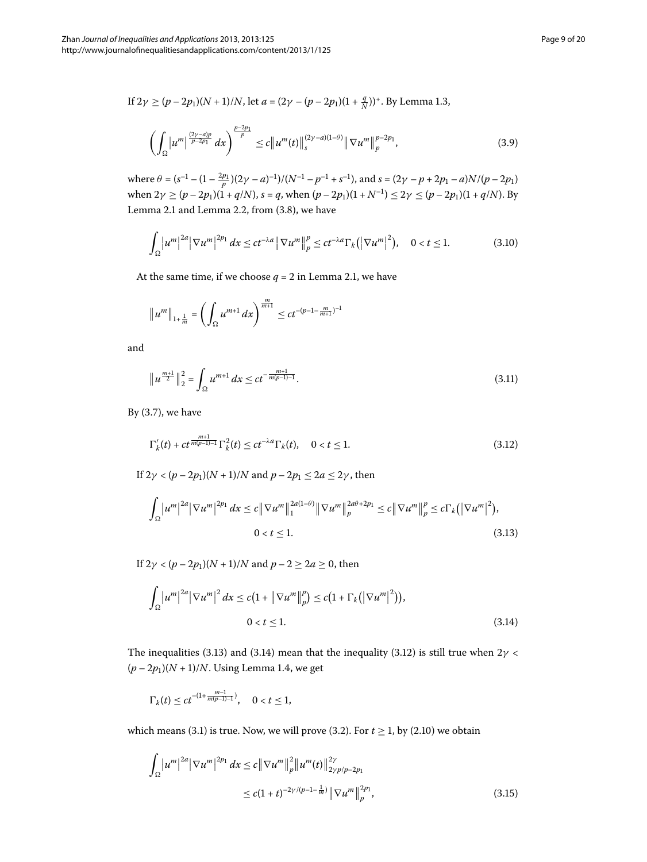If  $2\gamma \ge (p - 2p_1)(N + 1)/N$ , let  $a = (2\gamma - (p - 2p_1)(1 + \frac{q}{N}))^+$ [.](#page-2-1) By Lemma 1.3,

<span id="page-8-4"></span>
$$
\left(\int_{\Omega} \left|u^{m}\right|^{\frac{(2\gamma-a)p}{p-2p_1}} dx\right)^{\frac{p-2p_1}{p}} \leq c\|u^{m}(t)\|_{s}^{(2\gamma-a)(1-\theta)}\|\nabla u^{m}\|_{p}^{p-2p_1},\tag{3.9}
$$

where  $\theta = (s^{-1} - (1 - \frac{2p_1}{p})(2\gamma - a)^{-1})/(N^{-1} - p^{-1} + s^{-1})$ , and  $s = (2\gamma - p + 2p_1 - a)N/(p - 2p_1)$ when  $2\gamma \ge (p - 2p_1)(1 + q/N)$ ,  $s = q$ , when  $(p - 2p_1)(1 + N^{-1}) \le 2\gamma \le (p - 2p_1)(1 + q/N)$ . By Lemma 2[.](#page-5-4)1 and Lemma 2.2, from  $(3.8)$ , we have

$$
\int_{\Omega} \left| u^m \right|^{2a} \left| \nabla u^m \right|^{2p_1} dx \le ct^{-\lambda a} \left\| \nabla u^m \right\|_p^p \le ct^{-\lambda a} \Gamma_k \left( \left| \nabla u^m \right|^2 \right), \quad 0 < t \le 1. \tag{3.10}
$$

At the same time, if we choose  $q = 2$  in Lemma 2.1, we have

$$
||u^m||_{1+\frac{1}{m}} = \left(\int_{\Omega} u^{m+1} dx\right)^{\frac{m}{m+1}} \le ct^{-(p-1-\frac{m}{m+1})^{-1}}
$$

and

<span id="page-8-2"></span>
$$
\left\|u^{\frac{m+1}{2}}\right\|_{2}^{2} = \int_{\Omega} u^{m+1} dx \le ct^{-\frac{m+1}{m(p-1)-1}}.
$$
\n(3.11)

<span id="page-8-0"></span>By  $(3.7)$ , we have

$$
\Gamma'_k(t) + ct^{\frac{m+1}{m(p-1)-1}} \Gamma_k^2(t) \le ct^{-\lambda a} \Gamma_k(t), \quad 0 < t \le 1.
$$
\n(3.12)

<span id="page-8-1"></span>If  $2\gamma < (p - 2p_1)(N + 1)/N$  and  $p - 2p_1 \le 2a \le 2\gamma$ , then

$$
\int_{\Omega} \left| u^m \right|^{2a} \left| \nabla u^m \right|^{2p_1} dx \leq c \left\| \nabla u^m \right\|_1^{2a(1-\theta)} \left\| \nabla u^m \right\|_p^{2a\theta + 2p_1} \leq c \left\| \nabla u^m \right\|_p^p \leq c \Gamma_k \left( \left| \nabla u^m \right|^2 \right),
$$
\n
$$
0 < t \leq 1. \tag{3.13}
$$

If  $2\gamma < (p - 2p_1)(N + 1)/N$  and  $p - 2 \ge 2a \ge 0$ , then

$$
\int_{\Omega} \left| u^{m} \right|^{2a} \left| \nabla u^{m} \right|^{2} dx \leq c \left( 1 + \left\| \nabla u^{m} \right\|_{p}^{p} \right) \leq c \left( 1 + \Gamma_{k} \left( \left| \nabla u^{m} \right|^{2} \right) \right),
$$
\n
$$
0 < t \leq 1.
$$
\n(3.14)

<span id="page-8-3"></span>The inequalities (3[.](#page-8-0)13) and (3.14) mean that the inequality (3.12) is still true when  $2\gamma$  <  $(p - 2p_1)(N + 1)/N$ [.](#page-2-2) Using Lemma 1.4, we get

$$
\Gamma_k(t) \le ct^{-(1+\frac{m-1}{m(p-1)-1})}, \quad 0 < t \le 1,
$$

which means (3[.](#page-5-3)1) is true. Now, we will prove (3.2). For  $t \ge 1$ , by (2.10) we obtain

$$
\int_{\Omega} |u^m|^{2a} |\nabla u^m|^{2p_1} dx \leq c ||\nabla u^m||_p^2 ||u^m(t)||_{2\gamma p/p-2p_1}^{2\gamma}
$$
  

$$
\leq c(1+t)^{-2\gamma/(p-1-\frac{1}{m})} ||\nabla u^m||_p^{2p_1}, \qquad (3.15)
$$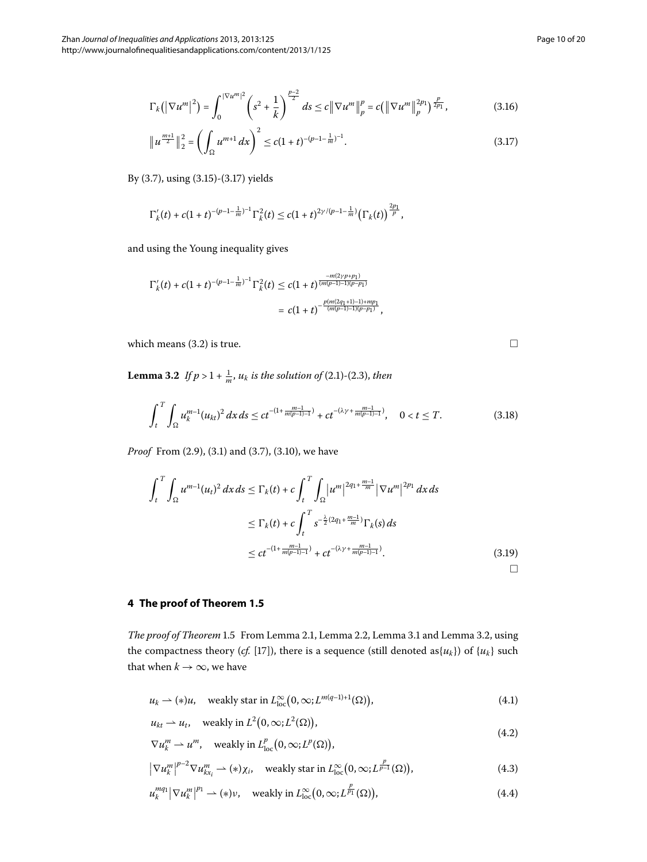<span id="page-9-0"></span>
$$
\left\|u^{\frac{m+1}{2}}\right\|_{2}^{2} = \left(\int_{\Omega} u^{m+1} dx\right)^{2} \le c(1+t)^{-(p-1-\frac{1}{m})^{-1}}.
$$
\n(3.17)

By (3.7), using (3.15)-(3.17) yields

$$
\Gamma_k'(t)+c(1+t)^{-(p-1-\frac{1}{m})-1}\Gamma_k^2(t)\leq c(1+t)^{2\gamma/(p-1-\frac{1}{m})}\big(\Gamma_k(t)\big)^{\frac{2p_1}{p}},
$$

<span id="page-9-1"></span>and using the Young inequality gives

$$
\Gamma'_k(t) + c(1+t)^{-(p-1-\frac{1}{m})^{-1}} \Gamma_k^2(t) \le c(1+t)^{\frac{-m(2\gamma p+p_1)}{(m(p-1)-1)(p-p_1)}}\\ = c(1+t)^{-\frac{p(m(2q_1+1)-1)+mp_1}{(m(p-1)-1)(p-p_1)}},
$$

which means  $(3.2)$  is true.

**Lemma 3.2** If  $p > 1 + \frac{1}{m}$ ,  $u_k$  is the solution of (2.1)-(2.3), then

$$
\int_{t}^{T} \int_{\Omega} u_k^{m-1} (u_{kt})^2 dx ds \le ct^{-(1 + \frac{m-1}{m(p-1)-1})} + ct^{-(\lambda \gamma + \frac{m-1}{m(p-1)-1})}, \quad 0 < t \le T.
$$
 (3.18)

*Proof* From (2[.](#page-6-5)9), (3.1) and (3.7), (3.10), we have

$$
\int_{t}^{T} \int_{\Omega} u^{m-1} (u_{t})^{2} dx ds \leq \Gamma_{k}(t) + c \int_{t}^{T} \int_{\Omega} |u^{m}|^{2q_{1} + \frac{m-1}{m}} |\nabla u^{m}|^{2p_{1}} dx ds
$$
  

$$
\leq \Gamma_{k}(t) + c \int_{t}^{T} s^{-\frac{\lambda}{2}(2q_{1} + \frac{m-1}{m})} \Gamma_{k}(s) ds
$$
  

$$
\leq ct^{-(1 + \frac{m-1}{m(p-1)-1})} + ct^{-(\lambda \gamma + \frac{m-1}{m(p-1)-1})}. \tag{3.19}
$$

<span id="page-9-2"></span>**4 The proof of Theorem [1.5](#page-2-3)**

<span id="page-9-3"></span>*The proof of Theorem* 1[.](#page-9-1)5 From Lemma 2.1, Lemma 2.2, Lemma 3.1 and Lemma 3.2, using the compactness theory (*cf.* [17[\]](#page-19-11)), there is a sequence (still denoted as $\{u_k\}$ ) of  $\{u_k\}$  such that when  $k \to \infty$ , we have

$$
u_k \rightharpoonup (*)u, \quad \text{weakly star in } L^{\infty}_{\text{loc}}(0, \infty; L^{m(q-1)+1}(\Omega)), \tag{4.1}
$$

$$
u_{kt} \rightharpoonup u_t, \quad \text{weakly in } L^2(0,\infty;L^2(\Omega)),\tag{4.2}
$$

$$
\nabla u_k^m \rightharpoonup u^m, \quad \text{weakly in } L^p_{\text{loc}}\big(0,\infty; L^p(\Omega)\big),
$$

$$
|\nabla u_k^m|^{p-2} \nabla u_{kx_i}^m \rightharpoonup (*) \chi_i, \quad \text{weakly star in } L^{\infty}_{\text{loc}}(0, \infty; L^{\frac{p}{p-1}}(\Omega)), \tag{4.3}
$$

$$
u_k^{mq_1} |\nabla u_k^m|^{p_1} \rightharpoonup (*)\nu, \quad \text{weakly in } L^{\infty}_{\text{loc}}(0,\infty; L^{\frac{p}{p_1}}(\Omega)), \tag{4.4}
$$

 $\Box$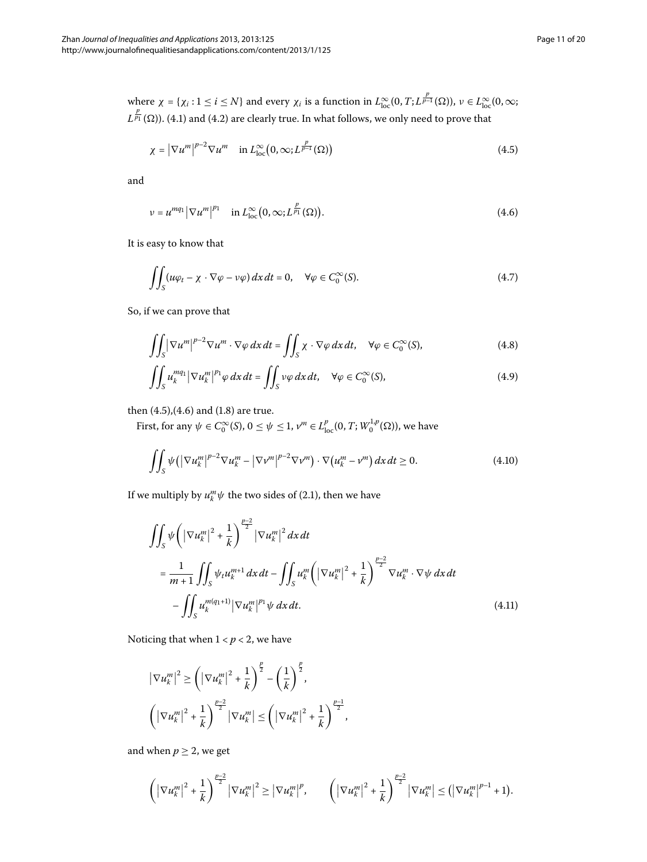where  $\chi = {\chi_i : 1 \le i \le N}$  and every  $\chi_i$  is a function in  $L^{\infty}_{loc}(0,T; L^{\frac{p}{p-1}}(\Omega))$ ,  $\nu \in L^{\infty}_{loc}(0,\infty;$  $L^{\frac{p}{p_1}}(\Omega)$ )[.](#page-9-3) (4.1) and (4.2) are clearly true. In what follows, we only need to prove that

<span id="page-10-4"></span><span id="page-10-1"></span><span id="page-10-0"></span>
$$
\chi = \left| \nabla u^m \right|^{p-2} \nabla u^m \quad \text{in } L^{\infty}_{\text{loc}} \left( 0, \infty; L^{\frac{p}{p-1}}(\Omega) \right) \tag{4.5}
$$

and

$$
\nu = u^{mq_1} \left| \nabla u^m \right|^{p_1} \quad \text{in } L^{\infty}_{\text{loc}}(0, \infty; L^{\frac{p}{p_1}}(\Omega)). \tag{4.6}
$$

<span id="page-10-5"></span>It is easy to know that

$$
\iint_{S} (u\varphi_{t} - \chi \cdot \nabla \varphi - \nu\varphi) \, dx \, dt = 0, \quad \forall \varphi \in C_{0}^{\infty}(S). \tag{4.7}
$$

<span id="page-10-6"></span>So, if we can prove that

$$
\iint_{S} |\nabla u^{m}|^{p-2} \nabla u^{m} \cdot \nabla \varphi \, dx \, dt = \iint_{S} \chi \cdot \nabla \varphi \, dx \, dt, \quad \forall \varphi \in C_{0}^{\infty}(S), \tag{4.8}
$$

<span id="page-10-2"></span>
$$
\iint_{S} u_{k}^{mq_{1}} \left| \nabla u_{k}^{m} \right|^{p_{1}} \varphi \, dx \, dt = \iint_{S} v \varphi \, dx \, dt, \quad \forall \varphi \in C_{0}^{\infty}(S), \tag{4.9}
$$

<span id="page-10-3"></span>then  $(4.5)$  $(4.5)$  $(4.5)$ , $(4.6)$  and  $(1.8)$  are true.

First, for any  $ψ ∈ C_0^{\infty}(S)$ ,  $0 ≤ ψ ≤ 1$ ,  $ν<sup>m</sup> ∈ L<sub>loc</sub><sup>p</sup>(0, T; W<sub>0</sub><sup>1,p</sup>(Ω)),$  we have

$$
\iint_{S} \psi \left( \left| \nabla u_k^m \right|^{p-2} \nabla u_k^m - \left| \nabla v^m \right|^{p-2} \nabla v^m \right) \cdot \nabla \left( u_k^m - v^m \right) dx \, dt \ge 0. \tag{4.10}
$$

If we multiply by  $u_k^m \psi$  the two sides of (2.1), then we have

$$
\iint_{S} \psi \left( \left| \nabla u_{k}^{m} \right|^{2} + \frac{1}{k} \right)^{\frac{p-2}{2}} \left| \nabla u_{k}^{m} \right|^{2} dx dt
$$
\n
$$
= \frac{1}{m+1} \iint_{S} \psi_{t} u_{k}^{m+1} dx dt - \iint_{S} u_{k}^{m} \left( \left| \nabla u_{k}^{m} \right|^{2} + \frac{1}{k} \right)^{\frac{p-2}{2}} \nabla u_{k}^{m} \cdot \nabla \psi dx dt
$$
\n
$$
- \iint_{S} u_{k}^{m(q_{1}+1)} \left| \nabla u_{k}^{m} \right|^{p_{1}} \psi dx dt. \tag{4.11}
$$

Noticing that when  $1 < p < 2$ , we have

$$
\left|\nabla u_k^m\right|^2 \ge \left(\left|\nabla u_k^m\right|^2 + \frac{1}{k}\right)^{\frac{p}{2}} - \left(\frac{1}{k}\right)^{\frac{p}{2}},
$$
  

$$
\left(\left|\nabla u_k^m\right|^2 + \frac{1}{k}\right)^{\frac{p-2}{2}} \left|\nabla u_k^m\right| \le \left(\left|\nabla u_k^m\right|^2 + \frac{1}{k}\right)^{\frac{p-1}{2}},
$$

and when  $p \geq 2$ , we get

$$
\left(\left|\nabla u_k^m\right|^2+\frac{1}{k}\right)^{\frac{p-2}{2}}\left|\nabla u_k^m\right|^2\geq \left|\nabla u_k^m\right|^p,\qquad \left(\left|\nabla u_k^m\right|^2+\frac{1}{k}\right)^{\frac{p-2}{2}}\left|\nabla u_k^m\right|\leq \left(\left|\nabla u_k^m\right|^{p-1}+1\right).
$$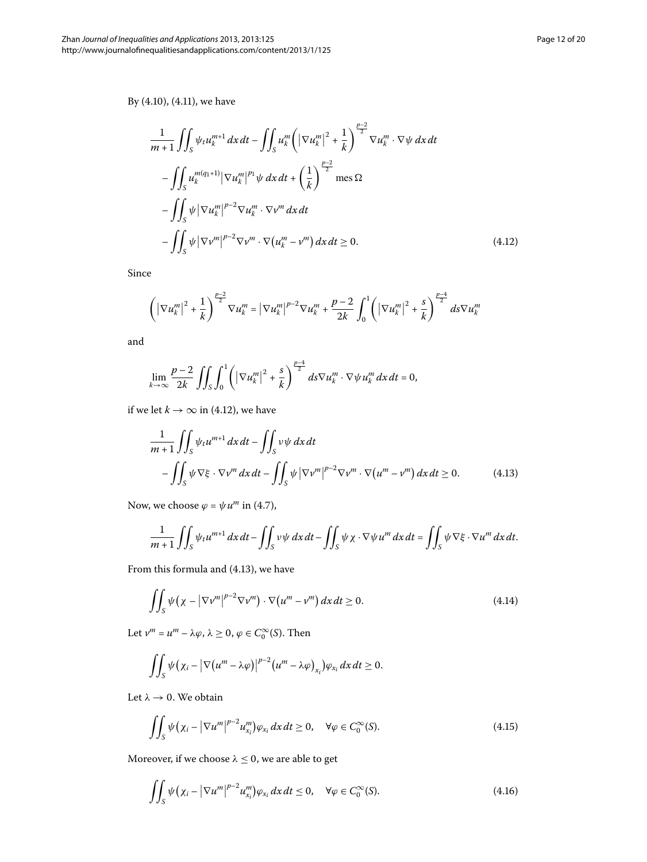# <span id="page-11-0"></span>By  $(4.10)$ ,  $(4.11)$ , we have

$$
\frac{1}{m+1} \iint_{S} \psi_{t} u_{k}^{m+1} dx dt - \iint_{S} u_{k}^{m} \left( |\nabla u_{k}^{m}|^{2} + \frac{1}{k} \right)^{\frac{p-2}{2}} \nabla u_{k}^{m} \cdot \nabla \psi dx dt
$$

$$
- \iint_{S} u_{k}^{m(q_{1}+1)} |\nabla u_{k}^{m}|^{p_{1}} \psi dx dt + \left( \frac{1}{k} \right)^{\frac{p-2}{2}} \text{mes } \Omega
$$

$$
- \iint_{S} \psi |\nabla u_{k}^{m}|^{p-2} \nabla u_{k}^{m} \cdot \nabla \nu^{m} dx dt
$$

$$
- \iint_{S} \psi |\nabla \nu^{m}|^{p-2} \nabla \nu^{m} \cdot \nabla (u_{k}^{m} - \nu^{m}) dx dt \ge 0.
$$
(4.12)

Since

$$
\left( \left| \nabla u_k^m \right|^2 + \frac{1}{k} \right)^{\frac{p-2}{2}} \nabla u_k^m = \left| \nabla u_k^m \right|^{p-2} \nabla u_k^m + \frac{p-2}{2k} \int_0^1 \left( \left| \nabla u_k^m \right|^2 + \frac{s}{k} \right)^{\frac{p-4}{2}} ds \nabla u_k^m
$$

<span id="page-11-1"></span>and

$$
\lim_{k\to\infty}\frac{p-2}{2k}\iint_S\int_0^1\left(\left|\nabla u_k^m\right|^2+\frac{s}{k}\right)^{\frac{p-4}{2}}ds\nabla u_k^m\cdot\nabla\psi u_k^m\,dx\,dt=0,
$$

if we let  $k \to \infty$  in (4.12), we have

$$
\frac{1}{m+1} \iint_{S} \psi_t u^{m+1} dx dt - \iint_{S} v \psi dx dt
$$
  
 
$$
- \iint_{S} \psi \nabla \xi \cdot \nabla v^m dx dt - \iint_{S} \psi |\nabla v^m|^{p-2} \nabla v^m \cdot \nabla (u^m - v^m) dx dt \ge 0.
$$
 (4.13)

Now, we choose  $\varphi = \psi u^m$  in (4[.](#page-10-4)7),

$$
\frac{1}{m+1}\iint_{S}\psi_t u^{m+1}\,dx\,dt - \iint_{S}v\psi\,dx\,dt - \iint_{S}\psi\,\chi\cdot\nabla\psi\,u^m\,dx\,dt = \iint_{S}\psi\,\nabla\xi\cdot\nabla u^m\,dx\,dt.
$$

From this formula and  $(4.13)$ , we have

$$
\iint_{S} \psi(\chi - |\nabla \nu^m|^{p-2} \nabla \nu^m) \cdot \nabla (u^m - v^m) dx dt \ge 0.
$$
 (4.14)

Let  $v^m = u^m - \lambda \varphi$ ,  $\lambda \geq 0$ ,  $\varphi \in C_0^{\infty}(S)$ . Then

<span id="page-11-2"></span>
$$
\iint_S \psi(\chi_i - |\nabla (u^m - \lambda \varphi)|^{p-2} (u^m - \lambda \varphi)_{x_i}) \varphi_{x_i} dx dt \geq 0.
$$

Let  $\lambda \to 0$ . We obtain

<span id="page-11-3"></span>
$$
\iint_{S} \psi(\chi_i - |\nabla u^m|^{p-2} u_{x_i}^m) \varphi_{x_i} dx dt \ge 0, \quad \forall \varphi \in C_0^{\infty}(S).
$$
\n(4.15)

Moreover, if we choose  $\lambda \leq 0,$  we are able to get

$$
\iint_{S} \psi(\chi_i - |\nabla u^m|^{p-2} u_{\chi_i}^m) \varphi_{\chi_i} dx dt \le 0, \quad \forall \varphi \in C_0^{\infty}(S).
$$
\n(4.16)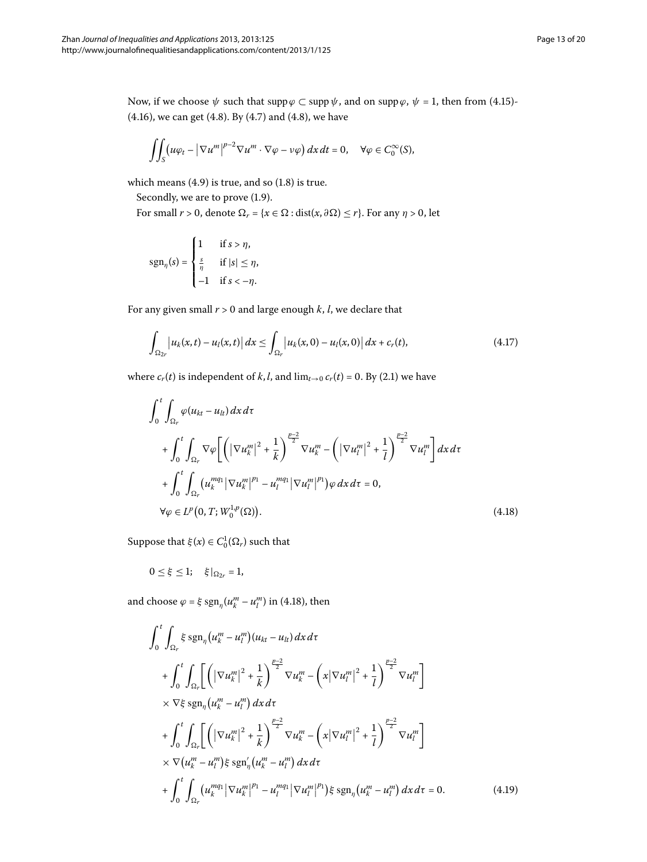Now, if we choose  $\psi$  such that supp $\varphi \subset \text{supp } \psi$ , and on supp $\varphi$ ,  $\psi = 1$ , then from (4[.](#page-11-2)15)- $(4.16)$  $(4.16)$  $(4.16)$ , we can get  $(4.8)$ . By  $(4.7)$  and  $(4.8)$ , we have

$$
\iint_S (u\varphi_t - |\nabla u^m|^{p-2} \nabla u^m \cdot \nabla \varphi - v\varphi) \, dx \, dt = 0, \quad \forall \varphi \in C_0^{\infty}(S),
$$

which means  $(4.9)$  is true, and so  $(1.8)$  is true.

Secondly, we are to prove  $(1.9)$ .

For small  $r > 0$ , denote  $\Omega_r = \{x \in \Omega : \text{dist}(x, \partial \Omega) \le r\}$ . For any  $\eta > 0$ , let

<span id="page-12-2"></span>
$$
\text{sgn}_{\eta}(s) = \begin{cases} 1 & \text{if } s > \eta, \\ \frac{s}{\eta} & \text{if } |s| \leq \eta, \\ -1 & \text{if } s < -\eta. \end{cases}
$$

<span id="page-12-0"></span>For any given small  $r > 0$  and large enough  $k$ ,  $l$ , we declare that

$$
\int_{\Omega_{2r}} \left| u_k(x,t) - u_l(x,t) \right| dx \leq \int_{\Omega_r} \left| u_k(x,0) - u_l(x,0) \right| dx + c_r(t), \tag{4.17}
$$

where  $c_r(t)$  is independent of *k*, *l*, and  $\lim_{t\to 0} c_r(t) = 0$ . By (2.1) we have

$$
\int_{0}^{t} \int_{\Omega_{r}} \varphi(u_{kt} - u_{lt}) dx dt
$$
\n
$$
+ \int_{0}^{t} \int_{\Omega_{r}} \nabla \varphi \left[ \left( |\nabla u_{k}^{m}|^{2} + \frac{1}{k} \right)^{\frac{p-2}{2}} \nabla u_{k}^{m} - \left( |\nabla u_{l}^{m}|^{2} + \frac{1}{l} \right)^{\frac{p-2}{2}} \nabla u_{l}^{m} \right] dx dt
$$
\n
$$
+ \int_{0}^{t} \int_{\Omega_{r}} (u_{k}^{mq_{1}} |\nabla u_{k}^{m}|^{p_{1}} - u_{l}^{mq_{1}} |\nabla u_{l}^{m}|^{p_{1}}) \varphi dx dt = 0,
$$
\n
$$
\forall \varphi \in L^{p}(0, T; W_{0}^{1,p}(\Omega)). \tag{4.18}
$$

<span id="page-12-1"></span>Suppose that  $\xi(x) \in C_0^1(\Omega_r)$  such that

 $0 \le \xi \le 1; \quad \xi|_{\Omega_{2r}} = 1,$ 

and choose  $\varphi = \xi \text{ sgn}_{\eta} (u_k^m - u_l^m)$  in (4.18), then

$$
\int_{0}^{t} \int_{\Omega_{r}} \xi \operatorname{sgn}_{\eta} (u_{k}^{m} - u_{l}^{m}) (u_{kt} - u_{lt}) dx d\tau \n+ \int_{0}^{t} \int_{\Omega_{r}} \left[ \left( |\nabla u_{k}^{m}|^{2} + \frac{1}{k} \right)^{\frac{p-2}{2}} \nabla u_{k}^{m} - \left( x |\nabla u_{l}^{m}|^{2} + \frac{1}{l} \right)^{\frac{p-2}{2}} \nabla u_{l}^{m} \right] \n\times \nabla \xi \operatorname{sgn}_{\eta} (u_{k}^{m} - u_{l}^{m}) dx d\tau \n+ \int_{0}^{t} \int_{\Omega_{r}} \left[ \left( |\nabla u_{k}^{m}|^{2} + \frac{1}{k} \right)^{\frac{p-2}{2}} \nabla u_{k}^{m} - \left( x |\nabla u_{l}^{m}|^{2} + \frac{1}{l} \right)^{\frac{p-2}{2}} \nabla u_{l}^{m} \right] \n\times \nabla (u_{k}^{m} - u_{l}^{m}) \xi \operatorname{sgn}_{\eta} (u_{k}^{m} - u_{l}^{m}) dx d\tau \n+ \int_{0}^{t} \int_{\Omega_{r}} (u_{k}^{mq} |\nabla u_{k}^{m}|^{p_{1}} - u_{l}^{mq} |\nabla u_{l}^{m}|^{p_{1}}) \xi \operatorname{sgn}_{\eta} (u_{k}^{m} - u_{l}^{m}) dx d\tau = 0.
$$
\n(4.19)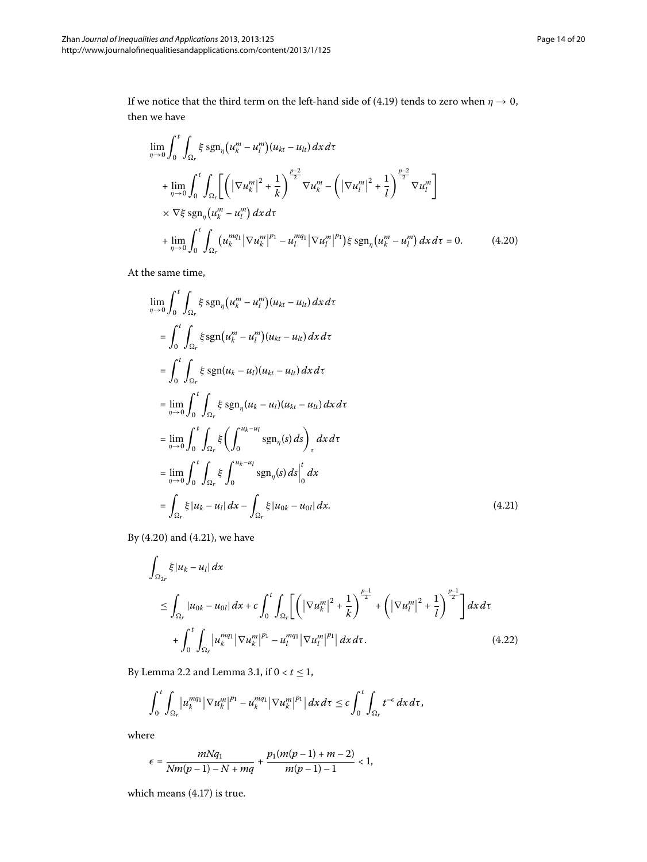<span id="page-13-0"></span>If we notice that the third term on the left-hand side of (4[.](#page-12-1)19) tends to zero when  $\eta \rightarrow 0,$ then we have

$$
\lim_{\eta \to 0} \int_{0}^{t} \int_{\Omega_{r}} \xi \operatorname{sgn}_{\eta} (u_{k}^{m} - u_{l}^{m}) (u_{kt} - u_{lt}) dx d\tau \n+ \lim_{\eta \to 0} \int_{0}^{t} \int_{\Omega_{r}} \left[ \left( |\nabla u_{k}^{m}|^{2} + \frac{1}{k} \right)^{\frac{p-2}{2}} \nabla u_{k}^{m} - \left( |\nabla u_{l}^{m}|^{2} + \frac{1}{l} \right)^{\frac{p-2}{2}} \nabla u_{l}^{m} \right] \n\times \nabla \xi \operatorname{sgn}_{\eta} (u_{k}^{m} - u_{l}^{m}) dx d\tau \n+ \lim_{\eta \to 0} \int_{0}^{t} \int_{\Omega_{r}} (u_{k}^{mq_{1}} |\nabla u_{k}^{m}|^{p_{1}} - u_{l}^{mq_{1}} |\nabla u_{l}^{m}|^{p_{1}}) \xi \operatorname{sgn}_{\eta} (u_{k}^{m} - u_{l}^{m}) dx d\tau = 0.
$$
\n(4.20)

<span id="page-13-1"></span>At the same time,

$$
\lim_{\eta \to 0} \int_0^t \int_{\Omega_r} \xi \operatorname{sgn}_{\eta} (u_k^m - u_l^m)(u_{kt} - u_{lt}) dx d\tau
$$
\n
$$
= \int_0^t \int_{\Omega_r} \xi \operatorname{sgn} (u_k^m - u_l^m)(u_{kt} - u_{lt}) dx d\tau
$$
\n
$$
= \int_0^t \int_{\Omega_r} \xi \operatorname{sgn} (u_k - u_l)(u_{kt} - u_{lt}) dx d\tau
$$
\n
$$
= \lim_{\eta \to 0} \int_0^t \int_{\Omega_r} \xi \operatorname{sgn}_{\eta} (u_k - u_l)(u_{kt} - u_{lt}) dx d\tau
$$
\n
$$
= \lim_{\eta \to 0} \int_0^t \int_{\Omega_r} \xi \left( \int_0^{u_k - u_l} \operatorname{sgn}_{\eta}(s) ds \right)_\tau dx d\tau
$$
\n
$$
= \lim_{\eta \to 0} \int_0^t \int_{\Omega_r} \xi \int_0^{u_k - u_l} \operatorname{sgn}_{\eta}(s) ds \Big|_0^t dx
$$
\n
$$
= \int_{\Omega_r} \xi |u_k - u_l| dx - \int_{\Omega_r} \xi |u_{0k} - u_{0l}| dx.
$$
\n(4.21)

By  $(4.20)$  $(4.20)$  $(4.20)$  and  $(4.21)$ , we have

$$
\int_{\Omega_{2r}} \xi |u_k - u_l| dx
$$
\n
$$
\leq \int_{\Omega_r} |u_{0k} - u_{0l}| dx + c \int_0^t \int_{\Omega_r} \left[ \left( |\nabla u_k^m|^2 + \frac{1}{k} \right)^{\frac{p-1}{2}} + \left( |\nabla u_l^m|^2 + \frac{1}{l} \right)^{\frac{p-1}{2}} \right] dx d\tau
$$
\n
$$
+ \int_0^t \int_{\Omega_r} |u_k^{mq_1}| \nabla u_k^m|^{p_1} - u_l^{mq_1} |\nabla u_l^m|^{p_1} |dx d\tau. \tag{4.22}
$$

By Lemma 2[.](#page-5-4)2 and Lemma 3.1, if  $0 < t \le 1$ ,

$$
\int_0^t \int_{\Omega_r} \left|u_k^{mq_1}\right| \nabla u_k^m\right|^{p_1} - u_k^{mq_1} \left| \nabla u_k^m\right|^{p_1} \left| \, dx \, d\tau \leq c \int_0^t \int_{\Omega_r} t^{-\epsilon} \, dx \, d\tau,
$$

where

$$
\epsilon = \frac{mNq_1}{Nm(p-1) - N + mq} + \frac{p_1(m(p-1) + m - 2)}{m(p-1) - 1} < 1,
$$

which means  $(4.17)$  is true.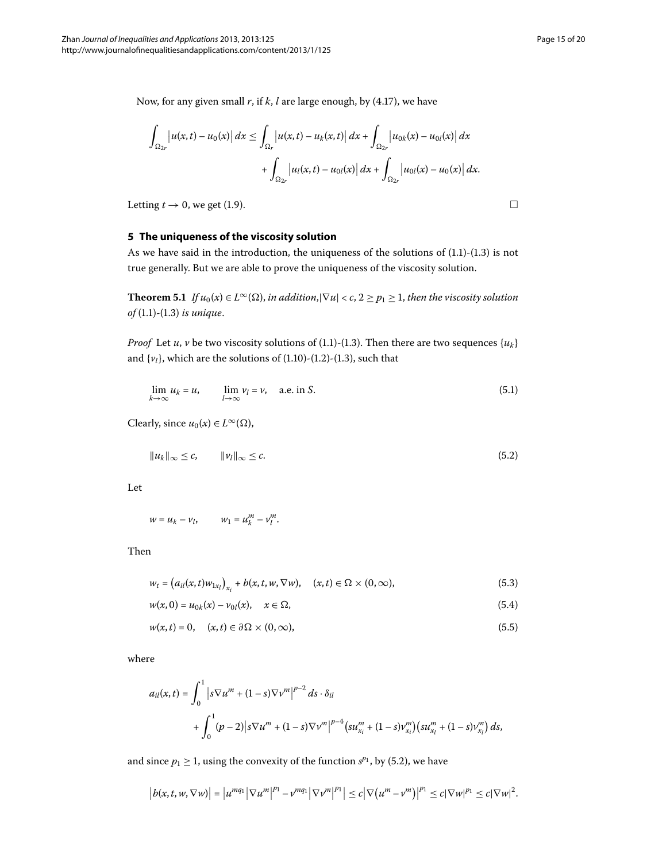Now, for any given small  $r$ , if  $k$ ,  $l$  are large enough, by (4.17), we have

$$
\int_{\Omega_{2r}} |u(x,t) - u_0(x)| dx \leq \int_{\Omega_r} |u(x,t) - u_k(x,t)| dx + \int_{\Omega_{2r}} |u_{0k}(x) - u_{0l}(x)| dx
$$
  
+ 
$$
\int_{\Omega_{2r}} |u_l(x,t) - u_{0l}(x)| dx + \int_{\Omega_{2r}} |u_{0l}(x) - u_0(x)| dx.
$$

Letting  $t \to 0$ , we get (1.9).

#### **5 The uniqueness of the viscosity solution**

As we have said in the introduction, the uniqueness of the solutions of  $(1.1)$ - $(1.3)$  is not true generally. But we are able to prove the uniqueness of the viscosity solution.

**Theorem 5.1** *If*  $u_0(x) \in L^\infty(\Omega)$ , *in addition*, $|\nabla u| < c$ ,  $2 \ge p_1 \ge 1$ , *then the viscosity solution of* (1[.](#page-0-2)1)-(1.3) *is unique.* 

*Proof* Let *u*, *v* be two viscosity solutions of (1[.](#page-0-1)1)-(1.3). Then there are two sequences { $u_k$ } and  $\{v_l\}$ , which are the solutions of  $(1.10)-(1.2)-(1.3)$  $(1.10)-(1.2)-(1.3)$  $(1.10)-(1.2)-(1.3)$ , such that

<span id="page-14-0"></span>
$$
\lim_{k \to \infty} u_k = u, \qquad \lim_{l \to \infty} v_l = v, \quad \text{a.e. in } S. \tag{5.1}
$$

Clearly, since  $u_0(x) \in L^{\infty}(\Omega)$ ,

$$
||u_k||_{\infty} \leq c, \qquad ||v_l||_{\infty} \leq c. \tag{5.2}
$$

Let

 $w = u_k - v_l, \qquad w_1 = u_k^m - v_l^m.$ 

Then

$$
w_{t} = (a_{il}(x, t)w_{1x_{l}})_{x_{i}} + b(x, t, w, \nabla w), \quad (x, t) \in \Omega \times (0, \infty),
$$
\n(5.3)

$$
w(x,0) = u_{0k}(x) - v_{0l}(x), \quad x \in \Omega,
$$
\n(5.4)

$$
w(x,t) = 0, \quad (x,t) \in \partial\Omega \times (0,\infty), \tag{5.5}
$$

where

$$
a_{il}(x,t) = \int_0^1 |s \nabla u^m + (1-s) \nabla v^m|^{p-2} ds \cdot \delta_{il}
$$
  
+ 
$$
\int_0^1 (p-2) |s \nabla u^m + (1-s) \nabla v^m|^{p-4} (s u_{x_i}^m + (1-s) v_{x_i}^m) (s u_{x_i}^m + (1-s) v_{x_i}^m) ds,
$$

and since  $p_1 \geq 1$ , using the convexity of the function  $s^{p_1}$ , by (5.2), we have

$$
\left|b(x,t,w,\nabla w)\right| = \left|u^{mq_1}\left|\nabla u^m\right|^{p_1} - v^{mq_1}\left|\nabla v^m\right|^{p_1}\right| \leq c\left|\nabla \left(u^m - v^m\right)\right|^{p_1} \leq c\left|\nabla w\right|^{p_1} \leq c\left|\nabla w\right|^{2}.
$$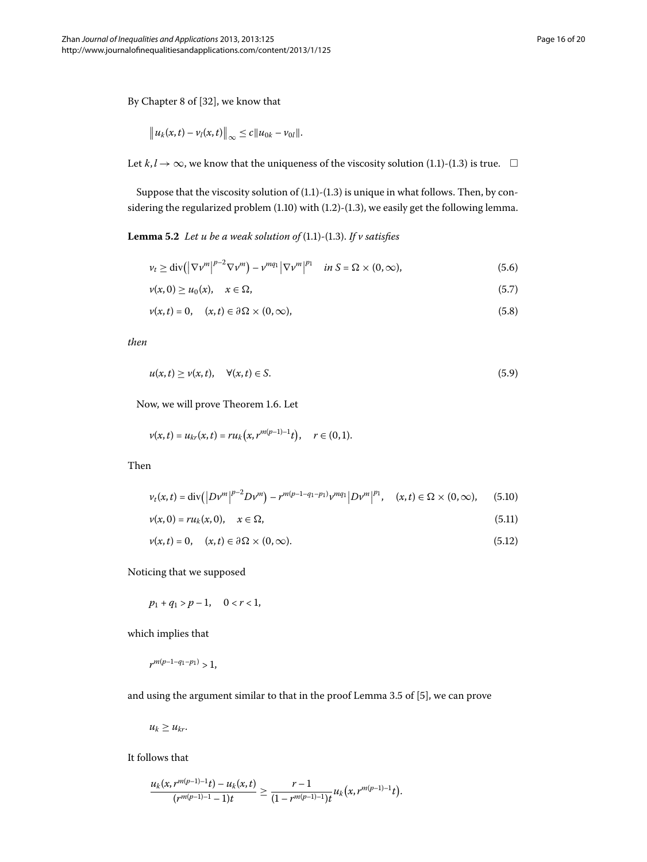By Chapter 8 of [\[](#page-19-17)32], we know that

$$
\|u_k(x,t)-v_l(x,t)\|_{\infty}\leq c\|u_{0k}-v_{0l}\|.
$$

Let  $k, l \to \infty$ , we know that the uniqueness of the viscosity solution (1[.](#page-0-1)1)-(1.3) is true.  $\Box$ 

Suppose that the viscosity solution of  $(1.1)-(1.3)$  $(1.1)-(1.3)$  $(1.1)-(1.3)$  is unique in what follows. Then, by considering the regularized problem  $(1.10)$  with  $(1.2)$ - $(1.3)$ , we easily get the following lemma.

**Lemma 5.2** Let u be a weak solution of  $(1.1)$ - $(1.3)$ . If v satisfies

$$
\nu_t \ge \text{div}\left(\left|\nabla \nu^m\right|^{p-2} \nabla \nu^m\right) - \nu^{mq_1} \left|\nabla \nu^m\right|^{p_1} \quad \text{in } S = \Omega \times (0, \infty),\tag{5.6}
$$

$$
\nu(x,0) \ge u_0(x), \quad x \in \Omega,\tag{5.7}
$$

$$
\nu(x,t) = 0, \quad (x,t) \in \partial\Omega \times (0,\infty), \tag{5.8}
$$

*then*

$$
u(x,t) \ge v(x,t), \quad \forall (x,t) \in S. \tag{5.9}
$$

Now, we will prove Theorem 1.6. Let

$$
\nu(x,t) = u_{kr}(x,t) = ru_k(x,r^{m(p-1)-1}t), \quad r \in (0,1).
$$

Then

$$
v_t(x,t) = \text{div}\left(\left|Dv^m\right|^{p-2}Dv^m\right) - r^{m(p-1-q_1-p_1)}v^{mq_1}\left|Dv^m\right|^{p_1}, \quad (x,t) \in \Omega \times (0,\infty), \quad (5.10)
$$

$$
\nu(x,0) = ru_k(x,0), \quad x \in \Omega, \tag{5.11}
$$

$$
\nu(x,t) = 0, \quad (x,t) \in \partial\Omega \times (0,\infty).
$$
 (5.12)

Noticing that we supposed

$$
p_1+q_1>p-1,\quad 0
$$

which implies that

$$
r^{m(p-1-q_1-p_1)} > 1,
$$

and using the argument similar to that in the proof Lemma 3.5 of  $[5]$  $[5]$ , we can prove

$$
u_k \geq u_{kr}.
$$

It follows that

$$
\frac{u_{k}(x,r^{m(p-1)-1}t)-u_{k}(x,t)}{(r^{m(p-1)-1}-1)t}\geq \frac{r-1}{(1-r^{m(p-1)-1})t}u_{k}\big(x,r^{m(p-1)-1}t\big).
$$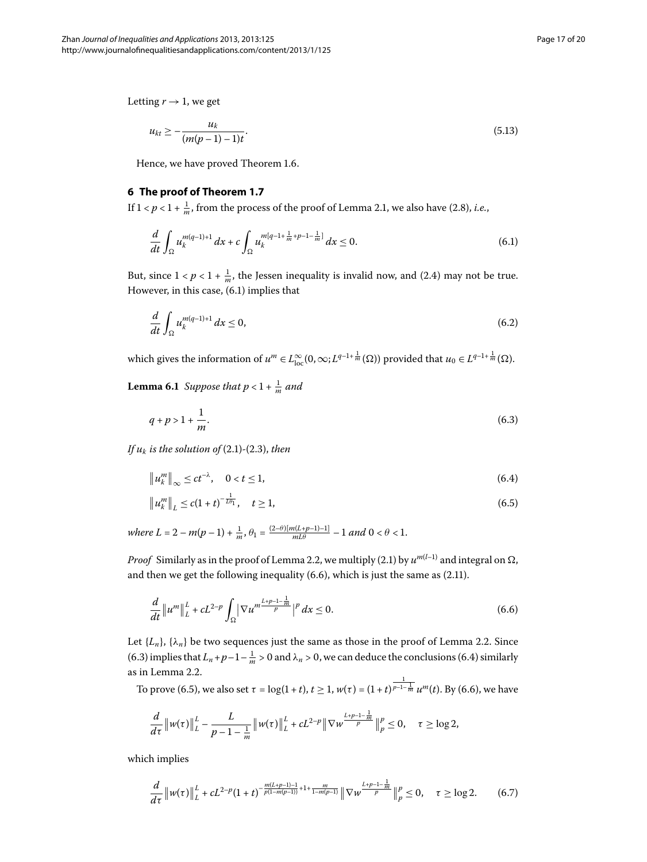Letting  $r \rightarrow 1$ , we get

<span id="page-16-0"></span>
$$
u_{kt} \geq -\frac{u_k}{(m(p-1)-1)t}.\tag{5.13}
$$

Hence, we have proved Theorem 1[.](#page-3-4)6.

#### **6 The proof of Theorem [1.7](#page-3-1)**

If  $1 < p < 1 + \frac{1}{m}$ , from the process of the proof of Lemma 2[.](#page-4-0)1, we also have (2.8), *i.e.*,

$$
\frac{d}{dt} \int_{\Omega} u_k^{m(q-1)+1} dx + c \int_{\Omega} u_k^{m(q-1+\frac{1}{m}+p-1-\frac{1}{m}]} dx \le 0.
$$
\n(6.1)

<span id="page-16-6"></span>But, since  $1 < p < 1 + \frac{1}{m}$ , the Jessen inequality is invalid now, and (2.4) may not be true. However, in this case,  $(6.1)$  implies that

<span id="page-16-2"></span>
$$
\frac{d}{dt} \int_{\Omega} u_k^{m(q-1)+1} dx \le 0,
$$
\n(6.2)

which gives the information of  $u^m \in L^{\infty}_{loc}(0, \infty; L^{q-1+\frac{1}{m}}(\Omega))$  provided that  $u_0 \in L^{q-1+\frac{1}{m}}(\Omega)$ .

<span id="page-16-4"></span><span id="page-16-3"></span>**Lemma 6.1** Suppose that  $p < 1 + \frac{1}{m}$  and

$$
q + p > 1 + \frac{1}{m}.\tag{6.3}
$$

*If*  $u_k$  *is the solution of* (2.1)-(2.3), *then* 

$$
\|u_k^m\|_{\infty} \le ct^{-\lambda}, \quad 0 < t \le 1,
$$
\n(6.4)

<span id="page-16-1"></span>
$$
\|u_k^m\|_L \le c(1+t)^{-\frac{1}{L\theta_1}}, \quad t \ge 1,
$$
\n(6.5)

 $where L = 2 - m(p-1) + \frac{1}{m}, \theta_1 = \frac{(2-\theta)[m(L+p-1)-1]}{mL\theta} - 1 \text{ and } 0 < \theta < 1.$ 

*Proof* Similarly as in the proof of Lemma 2[.](#page-3-2)2, we multiply (2.1) by  $u^{m(l-1)}$  and integral on  $\Omega$ , and then we get the following inequality  $(6.6)$ , which is just the same as  $(2.11)$ .

$$
\frac{d}{dt} \|u^m\|_{L}^2 + cL^{2-p} \int_{\Omega} |\nabla u^m \frac{L+p-1-\frac{1}{m}}{p}|^p dx \le 0.
$$
\n(6.6)

Let  $\{L_n\}$ ,  $\{\lambda_n\}$  be two sequences just the same as those in the proof of Lemma 2[.](#page-5-4)2. Since (6[.](#page-16-2)3) implies that  $L_n + p - 1 - \frac{1}{m} > 0$  and  $\lambda_n > 0$ , we can deduce the conclusions (6.4) similarly as in Lemma 2.2.

To prove (6.5), we also set  $\tau = \log(1 + t)$ ,  $t \ge 1$ ,  $w(\tau) = (1 + t)^{\frac{1}{p - 1 - \frac{1}{m}}} u^m(t)$ . By (6.6), we have

<span id="page-16-5"></span>
$$
\frac{d}{d\tau} \left\| w(\tau) \right\|_{L}^{L} - \frac{L}{p - 1 - \frac{1}{m}} \left\| w(\tau) \right\|_{L}^{L} + cL^{2-p} \left\| \nabla w^{\frac{L+p-1 - \frac{1}{m}}{p}} \right\|_{p}^{p} \leq 0, \quad \tau \geq \log 2,
$$

which implies

$$
\frac{d}{d\tau}\|w(\tau)\|_{L}^{L}+cL^{2-p}(1+t)^{-\frac{m(L+p-1)-1}{p(1-m(p-1))}+1+\frac{m}{1-m(p-1)}}\|\nabla w^{\frac{L+p-1-\frac{1}{m}}{p}}\|_{p}^{p}\leq 0,\quad \tau\geq \log 2.\tag{6.7}
$$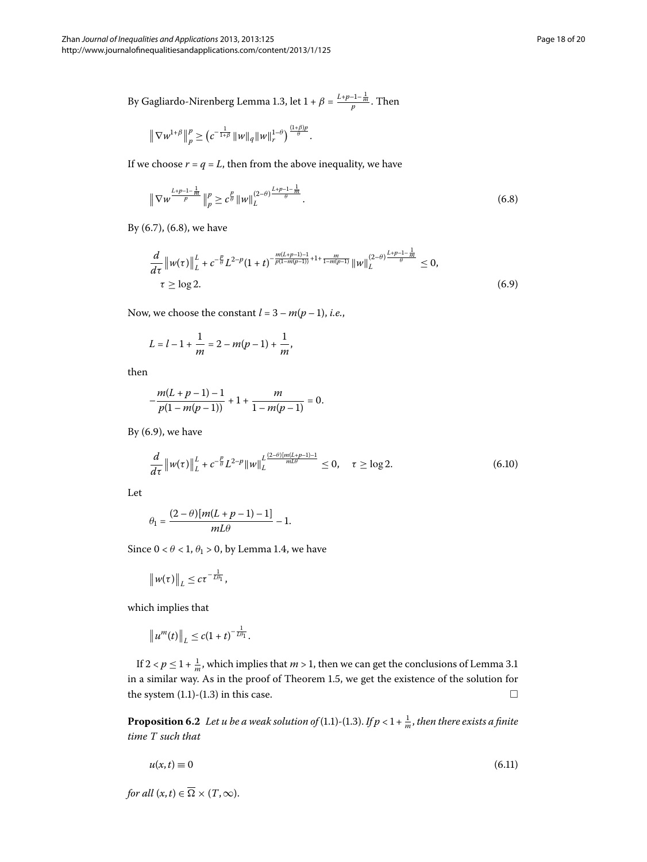By Gagliardo-Nirenberg Lemma 1[.](#page-2-1)3, let  $1 + \beta = \frac{L+p-1-\frac{1}{m}}{p}$ . Then

<span id="page-17-0"></span>
$$
\left\|\nabla w^{1+\beta}\right\|_{p}^{p} \geq \left(c^{-\frac{1}{1+\beta}}\|w\|_{q}\|w\|_{r}^{1-\theta}\right)^{\frac{(1+\beta)p}{\theta}}.
$$

<span id="page-17-1"></span>If we choose  $r = q = L$ , then from the above inequality, we have

$$
\|\nabla w^{\frac{L+p-1-\frac{1}{m}}{p}}\|_p^p \ge c^{\frac{p}{\theta}} \|w\|_L^{(2-\theta)^{\frac{L+p-1-\frac{1}{m}}{\theta}}}.
$$
\n(6.8)

By  $(6.7)$  $(6.7)$  $(6.7)$ ,  $(6.8)$ , we have

$$
\frac{d}{d\tau} \left\|w(\tau)\right\|_{L}^{L} + c^{-\frac{p}{\theta}} L^{2-p} (1+t)^{-\frac{m(L+p-1)-1}{p(1-m(p-1))}+1+\frac{m}{1-m(p-1)}} \left\|w\right\|_{L}^{(2-\theta)\frac{L+p-1-\frac{1}{m}}{\theta}} \leq 0, \qquad (6.9)
$$

Now, we choose the constant  $l = 3 - m(p-1)$ , *i.e.*,

$$
L = l - 1 + \frac{1}{m} = 2 - m(p - 1) + \frac{1}{m},
$$

then

$$
-\frac{m(L+p-1)-1}{p(1-m(p-1))}+1+\frac{m}{1-m(p-1)}=0.
$$

By  $(6.9)$ , we have

$$
\frac{d}{d\tau} \left\| w(\tau) \right\|_{L}^{L} + c^{-\frac{p}{\theta}} L^{2-p} \| w \|_{L}^{L \frac{(2-\theta)[m(L+p-1)-1}{mL\theta}} \le 0, \quad \tau \ge \log 2.
$$
\n(6.10)

Let

$$
\theta_1 = \frac{(2-\theta)[m(L+p-1)-1]}{mL\theta} - 1.
$$

Since  $0 < \theta < 1$ ,  $\theta_1 > 0$ , by Lemma 1.4, we have

$$
\left\|w(\tau)\right\|_{L} \leq c\tau^{-\frac{1}{L\theta_1}},
$$

which implies that

$$
\|u^m(t)\|_{L}\leq c(1+t)^{-\frac{1}{L\theta_1}}.
$$

If  $2 < p \leq 1 + \frac{1}{m}$ , which implies that  $m > 1$ , then we can get the conclusions of Lemma 3[.](#page-6-7)1 in a similar way[.](#page-2-3) As in the proof of Theorem 1.5, we get the existence of the solution for the system  $(1.1)$  $(1.1)$  $(1.1)$ - $(1.3)$  in this case.  $\Box$ 

**Proposition 6.2** Let u be a weak solution of (1.1)-(1.3). If  $p < 1 + \frac{1}{m}$ , then there exists a finite *time T such that*

$$
u(x,t) \equiv 0 \tag{6.11}
$$

*for all*  $(x, t) \in \Omega \times (T, \infty)$ .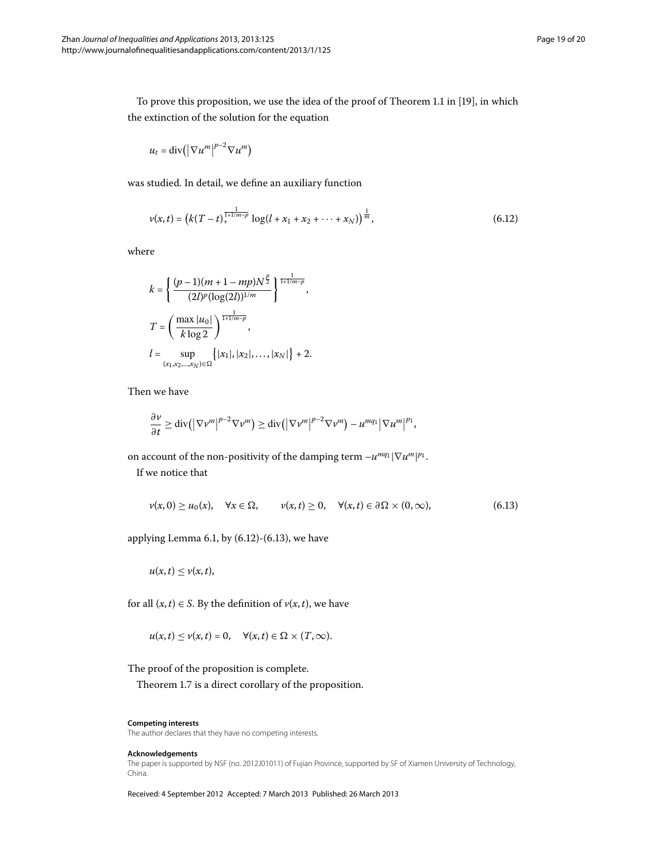To prove this proposition, we use the idea of the proof of Theorem 1.1 in [\[](#page-19-13)19], in which the extinction of the solution for the equation

<span id="page-18-0"></span>
$$
u_t = \mathrm{div}\left(\left|\nabla u^m\right|^{p-2} \nabla u^m\right)
$$

was studied. In detail, we define an auxiliary function

$$
\nu(x,t) = \left(k(T-t)^{\frac{1}{1+1/m-p}}\log(l+x_1+x_2+\cdots+x_N)\right)^{\frac{1}{m}},\tag{6.12}
$$

where

$$
k = \left\{ \frac{(p-1)(m+1-mp)N^{\frac{p}{2}}}{(2l)^p (\log(2l))^{1/m}} \right\}^{\frac{1}{1+1/m-p}},
$$
  

$$
T = \left(\frac{\max |u_0|}{k \log 2}\right)^{\frac{1}{1+1/m-p}},
$$
  

$$
l = \sup_{(x_1, x_2, ..., x_N) \in \Omega} \left\{ |x_1|, |x_2|, ..., |x_N| \right\} + 2.
$$

Then we have

<span id="page-18-1"></span>
$$
\frac{\partial \nu}{\partial t} \ge \mathrm{div}\big(\big|\nabla \nu^m\big|^{p-2} \nabla \nu^m\big) \ge \mathrm{div}\big(\big|\nabla \nu^m\big|^{p-2} \nabla \nu^m\big) - u^{mq_1} \big|\nabla u^m\big|^{p_1},
$$

on account of the non-positivity of the damping term  $-u^{mq_1}|\nabla u^m|^{p_1}$ .

If we notice that

$$
\nu(x,0) \ge u_0(x), \quad \forall x \in \Omega, \qquad \nu(x,t) \ge 0, \quad \forall (x,t) \in \partial\Omega \times (0,\infty), \tag{6.13}
$$

applying Lemma 6[.](#page-18-1)1, by  $(6.12)-(6.13)$ , we have

$$
u(x,t)\leq v(x,t),
$$

for all  $(x, t) \in S$ . By the definition of  $v(x, t)$ , we have

$$
u(x,t) \le v(x,t) = 0, \quad \forall (x,t) \in \Omega \times (T,\infty).
$$

The proof of the proposition is complete.

Theorem 1[.](#page-3-1)7 is a direct corollary of the proposition.

#### **Competing interests**

The author declares that they have no competing interests.

#### **Acknowledgements**

The paper is supported by NSF (no. 2012J01011) of Fujian Province, supported by SF of Xiamen University of Technology, China.

Received: 4 September 2012 Accepted: 7 March 2013 Published: 26 March 2013